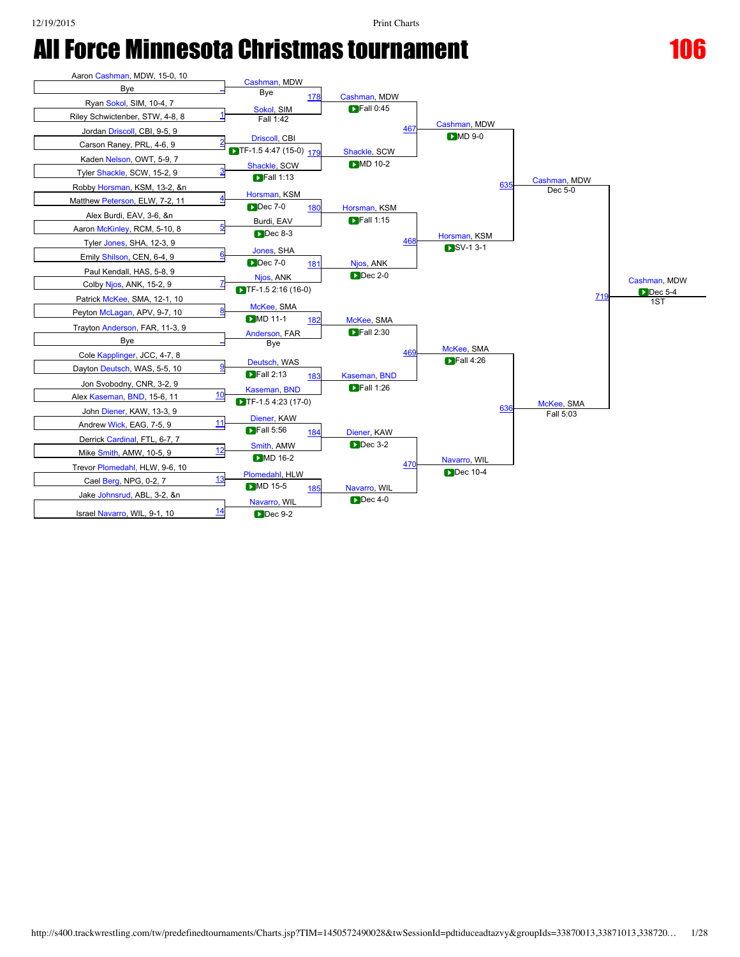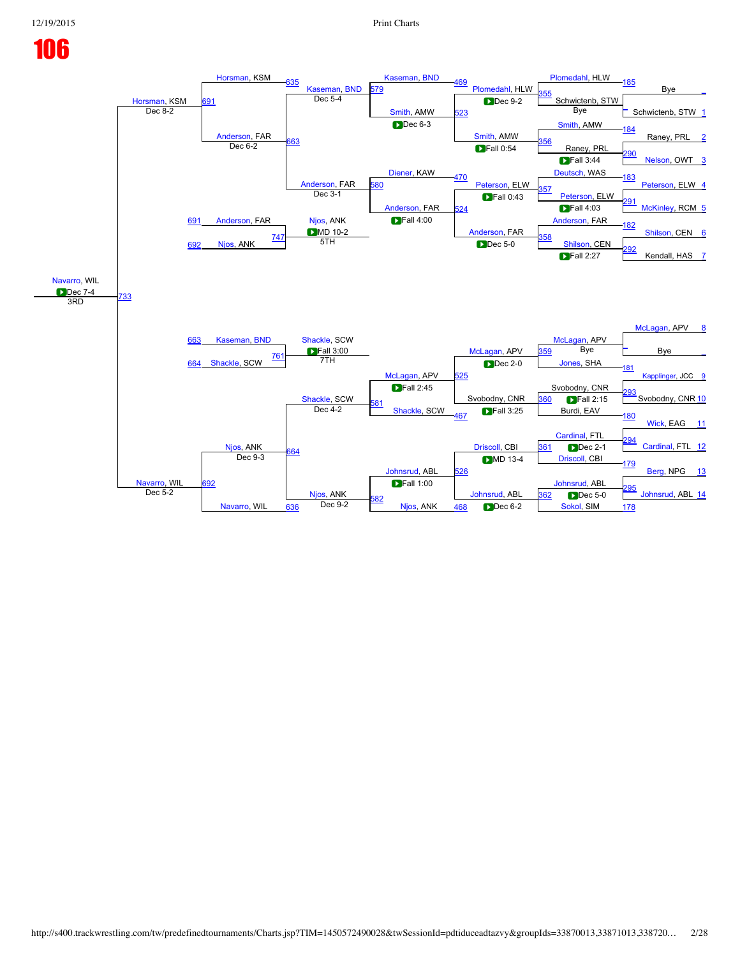## [Horsman](javascript:viewProfile(1977329009)), KSM<br>Dec 8-2 [Horsman](javascript:viewProfile(1977329009)), KSM [635](javascript:openBoutSheet(53,) [Kaseman,](javascript:viewProfile(1427468009)) [BND](javascript:viewClub(12862009))<br>Dec 5-4 [Kaseman,](javascript:viewProfile(1427468009)) [BND](javascript:viewClub(12862009)) [469](javascript:openBoutSheet(39,) [Plomedahl](javascript:viewProfile(451885009)), HLW [Plomedahl,](javascript:viewProfile(451885009)) HLW [185](javascript:openBoutSheet(31,) Bye [\\_](javascript:openBoutSheet(1,) 91 [579](javascript:openBoutSheet(49,) <mark>55</mark> Schwictenb, STW [Smith,](javascript:viewProfile(105138009)) AMW [523](javascript:openBoutSheet(45,) **Dec 9-2**  $\frac{1}{2}$  $\frac{1}{2}$  $\frac{1}{2}$  Dec 8-2  $\frac{1}{2}$  Schwictenb, STW 1 [Anderson](javascript:viewProfile(58245009)), FAR Bye **Dec 6-3** [Smith](javascript:viewProfile(105138009)), AMW [Smith,](javascript:viewProfile(105138009)) AMW [184](javascript:openBoutSheet(29,) Raney, PRL <u>[663](javascript:openBoutSheet(55,)</u><br>Dec 6-2 **663 Dec 6-2 D** Rall 0:54 **Raney, PRL** Dec 6-2 [Diener](javascript:viewProfile(59908009)), KAW **Fall 0:54** [290](javascript:openBoutSheet(20,) [Nelson,](javascript:viewProfile(54595009)) OWT [3](javascript:openBoutSheet(4,) [Anderson](javascript:viewProfile(58245009)), FAR<br>Dec 3-1 **D**Fall 3:44 [470](javascript:openBoutSheet(42,) [Peterson](javascript:viewProfile(54677009)), ELW [Deutsch,](javascript:viewProfile(154801009)) WAS [183](javascript:openBoutSheet(27,) [Peterson,](javascript:viewProfile(54677009)) ELW [4](javascript:openBoutSheet(5,) [Anderson](javascript:viewProfile(58245009)), FAR [580](javascript:openBoutSheet(50,) 57 [Peterson](javascript:viewProfile(54677009)), ELW [Anderson,](javascript:viewProfile(58245009)) FAR [524](javascript:openBoutSheet(46,) **D**Fall 0:43 [291](javascript:openBoutSheet(22,) [McKinley,](javascript:viewProfile(537165096)) RCM [5](javascript:openBoutSheet(6,) [691](javascript:openBoutSheet(57,)  $\blacksquare$  Fall 4:03 [Njos](javascript:viewProfile(58182009)), ANK **D**MD 10-2 **Fall 4:00** [Anderson,](javascript:viewProfile(58245009)) FAR [Anderson,](javascript:viewProfile(58245009)) FAR [182](javascript:openBoutSheet(25,) [Shilson](javascript:viewProfile(19681009)), CEN [6](javascript:openBoutSheet(7,) [692](javascript:openBoutSheet(58,) [Njos,](javascript:viewProfile(58182009)) ANK  $\frac{747}{571}$  $\frac{747}{571}$  $\frac{747}{571}$   $\frac{358}{571}$  $\frac{358}{571}$  $\frac{358}{571}$ 5TH Dec 5-0 [Shilson](javascript:viewProfile(19681009)), CEN [292](javascript:openBoutSheet(24,) Kendall, HAS [7](javascript:openBoutSheet(8,) [Navarro,](javascript:viewProfile(1452686009)) WIL **Dec 7-4** [733](javascript:openBoutSheet(60,) [663](javascript:openBoutSheet(55,)  $F$ all 2:27 3RD [McLagan](javascript:viewProfile(154185009)), APV [8](javascript:openBoutSheet(9,) [Kaseman,](javascript:viewProfile(1427468009)) [BND](javascript:viewClub(12862009)) [Shackle,](javascript:viewProfile(55151009)) SCW [McLagan](javascript:viewProfile(154185009)), APV **Fall 3:00** [McLagan,](javascript:viewProfile(154185009)) APV [McLagan](javascript:viewProfile(154185009)), APV [\\_](javascript:openBoutSheet(26,) Bye [\\_](javascript:openBoutSheet(10,) [664](javascript:openBoutSheet(56,) [Shackle,](javascript:viewProfile(55151009)) SCW [761](javascript:openBoutSheet(62,)  $\frac{359}{259}$  $\frac{359}{259}$  $\frac{359}{259}$  Bye 7TH [525](javascript:openBoutSheet(47,) Dec 2-0 [Jones](javascript:viewProfile(31453009)), SHA [181](javascript:openBoutSheet(23,) oplinger, JCC [9](javascript:openBoutSheet(11,) [Shackle,](javascript:viewProfile(55151009)) SCW Svobodny, CNR Svobodny, CNR [293](javascript:openBoutSheet(28,) Svobodny, CNR [10](javascript:openBoutSheet(12,) [581](javascript:openBoutSheet(51,) [Shackle,](javascript:viewProfile(55151009)) SCW [360](javascript:openBoutSheet(41,) **Fall** 2:15 [Njos](javascript:viewProfile(58182009)), ANK Dec  $4-2$ [467](javascript:openBoutSheet(33,) Burdi, EAV [180](javascript:openBoutSheet(21,) [Wick,](javascript:viewProfile(55835009)) EAG [11](javascript:openBoutSheet(13,) [Cardinal,](javascript:viewProfile(2025233009)) FTL [Johnsrud](javascript:viewProfile(2011487009)), ABL [Driscoll,](javascript:viewProfile(102353009)) CBI [294](javascript:openBoutSheet(30,) [Cardinal,](javascript:viewProfile(2025233009)) FTL [12](javascript:openBoutSheet(14,) [Navarro](javascript:viewProfile(1452686009)), WIL [664](javascript:openBoutSheet(56,) [361](javascript:openBoutSheet(43,) Dec 2-1 92 Dec 9-3 [526](javascript:openBoutSheet(48,) [Driscoll,](javascript:viewProfile(102353009)) CBI [179](javascript:openBoutSheet(19,) [Berg,](javascript:viewProfile(57236009)) NPG [13](javascript:openBoutSheet(15,) [Njos](javascript:viewProfile(58182009)), ANK<br>Dec 9-2 [Johnsrud](javascript:viewProfile(2011487009)), ABL [Johnsrud](javascript:viewProfile(2011487009)), ABL  $\frac{362}{295}$  $\frac{362}{295}$  $\frac{362}{295}$  Dec 5-2 ec 5-2 [Navarro,](javascript:viewProfile(1452686009)) WIL [582](javascript:openBoutSheet(52,) [Njos,](javascript:viewProfile(58182009)) ANK **[362](javascript:openBoutSheet(44,)** Dec 5-0  $\frac{636}{636}$  $\frac{636}{636}$  $\frac{636}{636}$  Dec 9-2  $\frac{636}{178}$  $\frac{636}{178}$  $\frac{636}{178}$  Njos, ANK  $\frac{468}{468}$  $\frac{468}{468}$  $\frac{468}{468}$  Dec 6-2 [Sokol,](javascript:viewProfile(52031009)) SIM 178 Dec 5-0  $\blacksquare$  Fall 2:45  $\blacksquare$  Fall 3:25 **DMD** 13-4 **D**Fall 1:00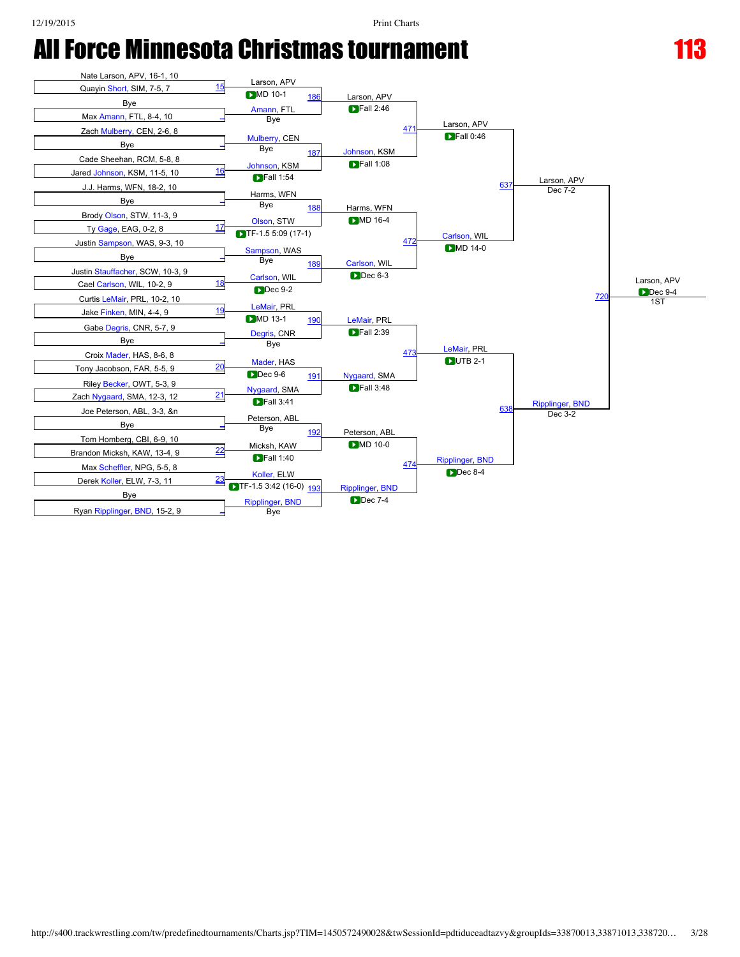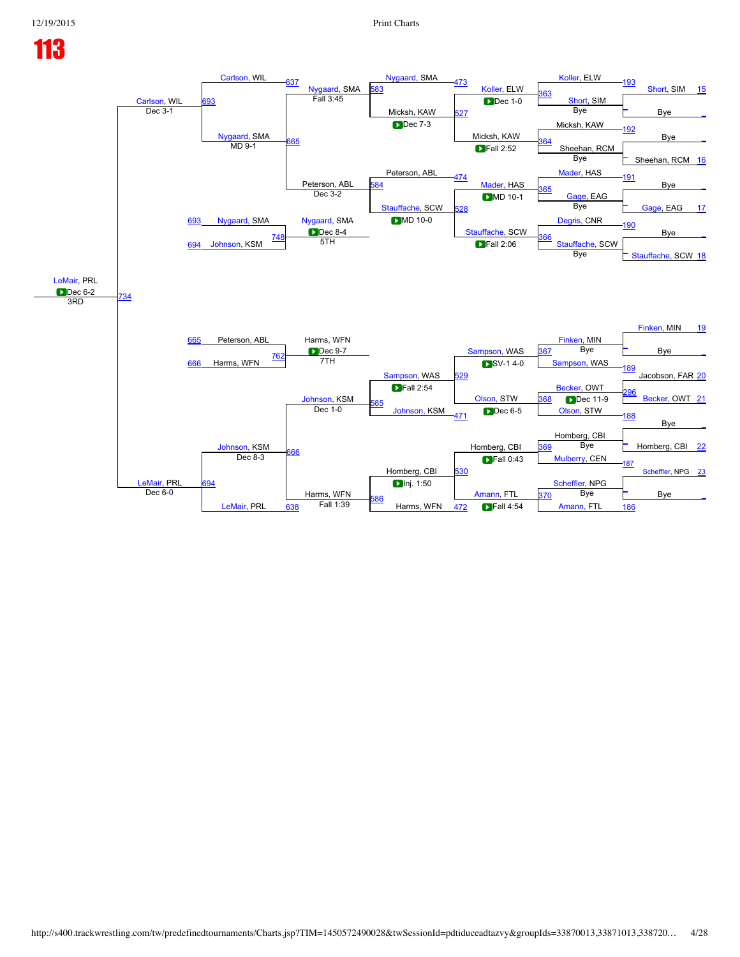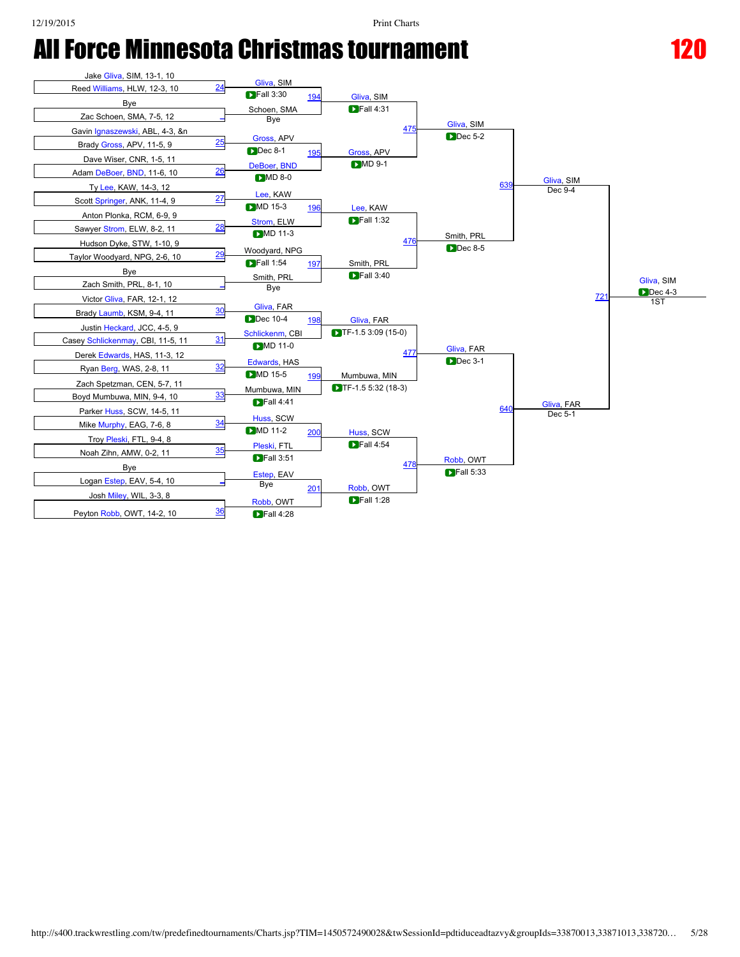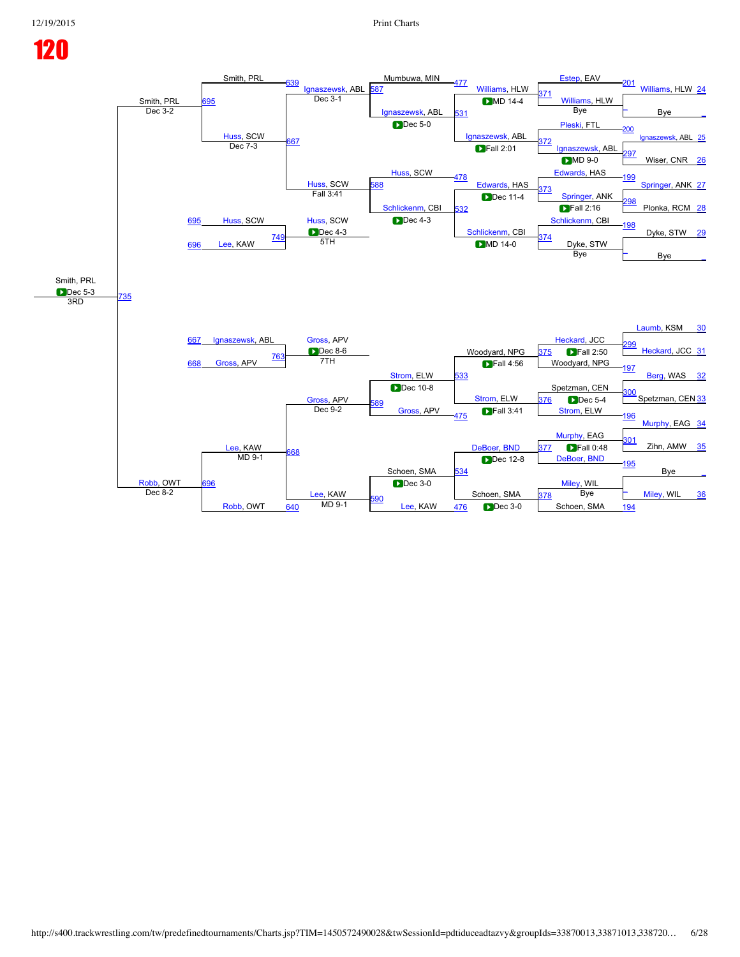### Smith, PRL<br>Dec 3-2 Smith, PRL [639](javascript:openBoutSheet(53,) gnaszewsk, ABL<br>Dec 3-1 Mumbuwa, MIN [477](javascript:openBoutSheet(39,) [Williams](javascript:viewProfile(5664009)), HLW [Estep](javascript:viewProfile(102605009)), EAV [201](javascript:openBoutSheet(31,) [Williams,](javascript:viewProfile(5664009)) HLW [24](javascript:openBoutSheet(1,) 95 87 [371](javascript:openBoutSheet(34,) [Williams](javascript:viewProfile(5664009)), HLW [Ignaszewsk](javascript:viewProfile(147348009)), ABL [531](javascript:openBoutSheet(45,) **DMD** 14-4  $Dec 3-2$  Bye  $Big\}$  Bye Bye Bye [Huss,](javascript:viewProfile(56364009)) SCW Bye  $\blacksquare$ Dec 5-0 [Ignaszewsk,](javascript:viewProfile(147348009)) ABL [Pleski](javascript:viewProfile(23148009)), FTL [200](javascript:openBoutSheet(29,) <u>uss, SCW [667](javascript:openBoutSheet(55,)</u><br>Dec 7-3 667 [372](javascript:openBoutSheet(35,) Dec 7-3 Bec 7-3 Bec 7-3 Bec 7-3 Bec 7-3 Bec 7-3 Bec 7-4 Bec 7-4 Bec 7-4 Bec 7-4 Bec 7-4 Bec 7-Dec 7-3 [Huss,](javascript:viewProfile(56364009)) SCW **Fall 2:01** [297](javascript:openBoutSheet(20,) Wiser, CNR [26](javascript:openBoutSheet(4,) [Huss](javascript:viewProfile(56364009)), SCW<br>Fall 3:41  $DMD 9-0$ [478](javascript:openBoutSheet(42,) [Edwards](javascript:viewProfile(2111246009)), HAS [Edwards](javascript:viewProfile(2111246009)), HAS [199](javascript:openBoutSheet(27,) [Springer](javascript:viewProfile(103624009)), ANK [27](javascript:openBoutSheet(5,) [Huss](javascript:viewProfile(56364009)), SCW [588](javascript:openBoutSheet(50,) [373](javascript:openBoutSheet(37,)<br>[Springer,](javascript:viewProfile(103624009)) ANK [Schlickenm](javascript:viewProfile(55813009)), CBI [532](javascript:openBoutSheet(46,) **Dec** 11-4 [298](javascript:openBoutSheet(22,) Plonka, RCM [28](javascript:openBoutSheet(6,) [695](javascript:openBoutSheet(57,)  $\blacksquare$ Fall 2:16 [Huss](javascript:viewProfile(56364009)), SCW **Dec 4-3 Dec 4-3** [Schlickenm](javascript:viewProfile(55813009)), CBI [Schlickenm,](javascript:viewProfile(55813009)) CBI [198](javascript:openBoutSheet(25,) Dyke, STW [29](javascript:openBoutSheet(7,) [696](javascript:openBoutSheet(58,) [Lee,](javascript:viewProfile(11972009)) KAW  $\frac{749}{2711}$  $\frac{749}{2711}$  $\frac{749}{2711}$ <u>Schlickerini, CBI 374</u><br>5TH **D**MD 14-0 <u>Dyke, STW</u> Bye [\\_](javascript:openBoutSheet(8,) Smith, PRL **Dec 5-3** [735](javascript:openBoutSheet(60,) [667](javascript:openBoutSheet(55,) Bye 3RD [Laumb](javascript:viewProfile(97499009)), KSM [30](javascript:openBoutSheet(9,) [Ignaszewsk,](javascript:viewProfile(147348009)) ABL [Gross,](javascript:viewProfile(31896009)) APV Grosset and APV [Heckard](javascript:viewProfile(102394009)), JCC **D**ec 8-6 [Strom,](javascript:viewProfile(738055009)) ELW Dec 8-6 Noodyard, NPG 375 DF <u>99</u> [Heckard,](javascript:viewProfile(102394009)) JCC [31](javascript:openBoutSheet(10,) [668](javascript:openBoutSheet(56,) [Gross](javascript:viewProfile(31896009)), APV [763](javascript:openBoutSheet(62,) **[375](javascript:openBoutSheet(40,) D**Fall 2:50 7TH 33 Woodyard, NPG [197](javascript:openBoutSheet(23,) [Berg](javascript:viewProfile(104137009)), WAS [32](javascript:openBoutSheet(11,) [Gross,](javascript:viewProfile(31896009)) APV Spetzman, CEN [Strom](javascript:viewProfile(738055009)), ELW [300](javascript:openBoutSheet(28,) Spetzman, CEN [33](javascript:openBoutSheet(12,) [589](javascript:openBoutSheet(51,) [Gross](javascript:viewProfile(31896009)), APV [376](javascript:openBoutSheet(41,) Dec 5-4 [Lee,](javascript:viewProfile(11972009)) KAW Dec  $9-2$ [475](javascript:openBoutSheet(33,) [Strom](javascript:viewProfile(738055009)), ELW [196](javascript:openBoutSheet(21,) [Murphy,](javascript:viewProfile(1816821009)) EAG [34](javascript:openBoutSheet(13,) [Murphy](javascript:viewProfile(1816821009)), EAG Schoen, SMA [DeBoer,](javascript:viewProfile(1423792009)) [BND](javascript:viewClub(12862009)) <u>01</u> Zihn, AMW  $35$ [Robb,](javascript:viewProfile(57198009)) OWT [668](javascript:openBoutSheet(56,) **[377](javascript:openBoutSheet(43,) Fall 0:48** [696](javascript:openBoutSheet(58,)  $MD 9-1$ [534](javascript:openBoutSheet(48,) [DeBoer,](javascript:viewProfile(1423792009)) [BND](javascript:viewClub(12862009)) [195](javascript:openBoutSheet(19,) Bye [\\_](javascript:openBoutSheet(15,) [Lee,](javascript:viewProfile(11972009)) KAW<br>MD 9-1 [Miley](javascript:viewProfile(369183096)), WIL Schoen, SMA  $\overline{a}$  Dec 3-9  $\overline{b}$  Dec 3-9  $\overline{b}$  Schoen, SMA  $\overline{a}$  Bye [Miley](javascript:viewProfile(369183096)), WIL [36](javascript:openBoutSheet(16,) Dec 8-2 [Robb](javascript:viewProfile(57198009)), OWT [590](javascript:openBoutSheet(52,) [Lee,](javascript:viewProfile(11972009)) KAW [378](javascript:openBoutSheet(44,) Bye [640](javascript:openBoutSheet(54,) MD 9-1 **Lee, KAW [476](javascript:openBoutSheet(36,) D**Dec 3-0 Schoen, SMA [194](javascript:openBoutSheet(17,) **DMD** 14-0  $\Gamma$ Fall 4:56 Dec 10-8 **DFall 3:41** Dec 12-8 Dec 3-0 **D**Dec 3-0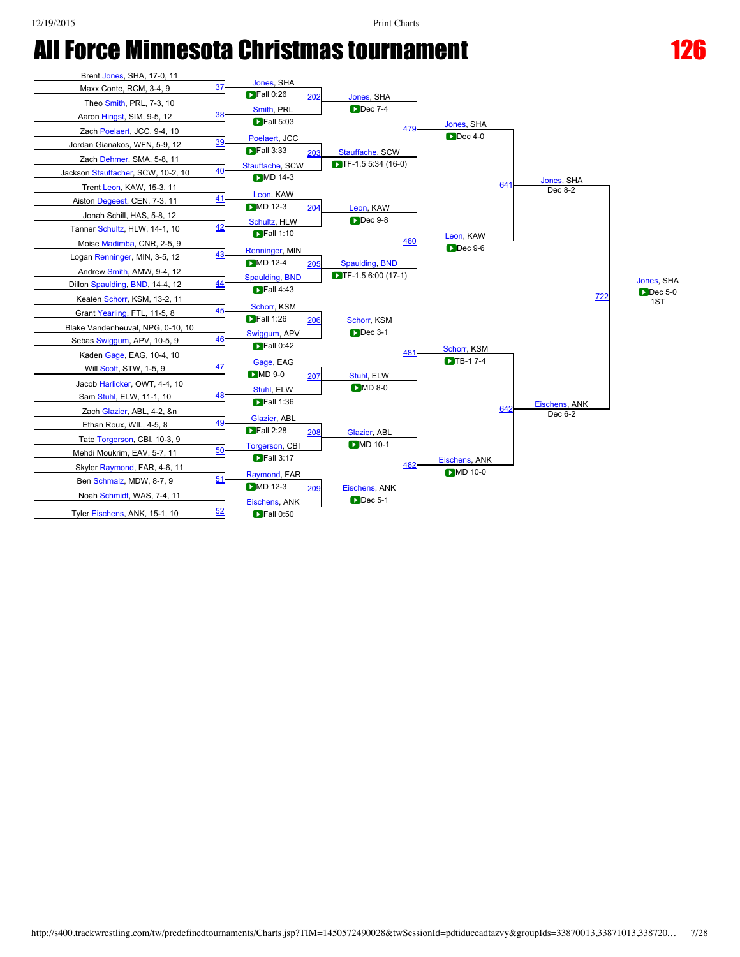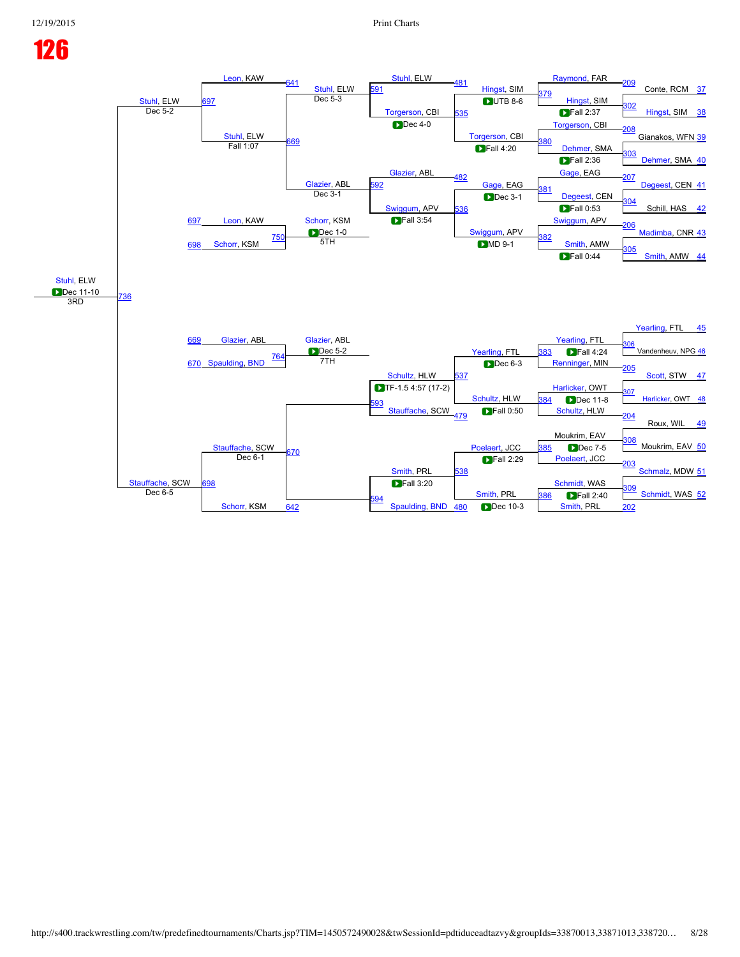## [Stuhl,](javascript:viewProfile(569465009)) ELW<br>Dec 5-2 [Leon](javascript:viewProfile(146590009)), KAW [641](javascript:openBoutSheet(53,) [Stuhl,](javascript:viewProfile(569465009)) ELW<br>Dec 5-3 [Stuhl](javascript:viewProfile(569465009)), ELW [481](javascript:openBoutSheet(39,) [Hingst,](javascript:viewProfile(29977009)) SIM [Raymond,](javascript:viewProfile(620304009)) FAR [209](javascript:openBoutSheet(31,) Conte, RCM [37](javascript:openBoutSheet(1,) 97 [591](javascript:openBoutSheet(49,) [379](javascript:openBoutSheet(34,)<br>[Hingst,](javascript:viewProfile(29977009)) SIM [Torgerson,](javascript:viewProfile(58511009)) CBI [535](javascript:openBoutSheet(45,)  $UTB 8-6$ and Exercise Contract on the Contract of the Contract of the Contract of the Contract of the Contract of the S<br>Dec 5-2 [Hingst](javascript:viewProfile(29977009)), SIM [38](javascript:openBoutSheet(2,) [Stuhl,](javascript:viewProfile(569465009)) ELW<br>Fall 1:07  $\blacksquare$ Fall 2:37  $\blacksquare$ Dec 4-0 [Torgerson,](javascript:viewProfile(58511009)) CBI [Torgerson,](javascript:viewProfile(58511009)) CBI [208](javascript:openBoutSheet(29,) Gianakos, WFN [39](javascript:openBoutSheet(3,) Fall 1:07 [669](javascript:openBoutSheet(55,) **[380](javascript:openBoutSheet(35,)** [Dehmer](javascript:viewProfile(104541009)), SMA [Glazier](javascript:viewProfile(104626009)), ABL  $\blacksquare$  Fall 4:20 [303](javascript:openBoutSheet(20,) [Dehmer,](javascript:viewProfile(104541009)) SMA [40](javascript:openBoutSheet(4,) [Glazier,](javascript:viewProfile(104626009)) ABL<br>Dec 3-1  $\blacksquare$  Fall 2:36 [482](javascript:openBoutSheet(42,) [Gage](javascript:viewProfile(146577009)), EAG [Gage](javascript:viewProfile(146577009)), EAG [207](javascript:openBoutSheet(27,) [Degeest](javascript:viewProfile(104595009)), CEN [41](javascript:openBoutSheet(5,) [Leon](javascript:viewProfile(146590009)), KAW [592](javascript:openBoutSheet(50,) [381](javascript:openBoutSheet(37,) [Degeest,](javascript:viewProfile(104595009)) CEN [Swiggum](javascript:viewProfile(58494009)), APV [536](javascript:openBoutSheet(46,) **Dec 3-1** [304](javascript:openBoutSheet(22,) Schill, HAS [42](javascript:openBoutSheet(6,) [697](javascript:openBoutSheet(57,)  $\blacksquare$  Fall 0:53 [Schorr,](javascript:viewProfile(54503009)) KSM **Dec** 1-0 **Fall 3:54** [Swiggum,](javascript:viewProfile(58494009)) APV [Swiggum](javascript:viewProfile(58494009)), APV [206](javascript:openBoutSheet(25,) [Madimba](javascript:viewProfile(416746096)), CNR [43](javascript:openBoutSheet(7,) [698](javascript:openBoutSheet(58,) [Schorr](javascript:viewProfile(54503009)), KSM  $750$   $282$  $5$ TH  $305$  MD 9-1  $\frac{1002}{\pi}$  [Smith,](javascript:viewProfile(2111123009)) AMW  $\frac{305}{\pi}$ [Smith](javascript:viewProfile(2111123009)), AMW [44](javascript:openBoutSheet(8,) [Stuhl](javascript:viewProfile(569465009)), ELW **Dec 11-10** [736](javascript:openBoutSheet(60,) [669](javascript:openBoutSheet(55,) **D**Fall 0:44 3RD [Yearling](javascript:viewProfile(57965009)), FTL [45](javascript:openBoutSheet(9,) [Glazier,](javascript:viewProfile(104626009)) ABL Glazier, ABL Glazier, ABL [Yearling,](javascript:viewProfile(57965009)) FTL  $\blacksquare$ Dec 5-2 [Schultz](javascript:viewProfile(45195009)), HLW [Yearling,](javascript:viewProfile(57965009)) FTL [306](javascript:openBoutSheet(26,) Vandenheuv, NPG [46](javascript:openBoutSheet(10,) [670](javascript:openBoutSheet(56,) [Spaulding](javascript:viewProfile(20225009)), [BND](javascript:viewClub(12862009)) [764](javascript:openBoutSheet(62,) **B**Fall 4:24 7TH [537](javascript:openBoutSheet(47,) [Renninger,](javascript:viewProfile(2062723009)) MIN [205](javascript:openBoutSheet(23,) [Scott,](javascript:viewProfile(540668096)) STW [47](javascript:openBoutSheet(11,) **TF-1.5 4:57 (17-2)** [Harlicker,](javascript:viewProfile(544928096)) OWT [Schultz](javascript:viewProfile(45195009)), HLW [307](javascript:openBoutSheet(28,)  $\overline{1884}$  Dec 11-8  $\overline{501}$  [Harlicker,](javascript:viewProfile(544928096)) OWT  $\overline{48}$  $\overline{48}$  $\overline{48}$ [Stauffache,](javascript:viewProfile(620048009)) SCW [384](javascript:openBoutSheet(41,) Dec 11-8 [Stauffache,](javascript:viewProfile(620048009)) SCW [479](javascript:openBoutSheet(33,) [Schultz](javascript:viewProfile(45195009)), HLW [204](javascript:openBoutSheet(21,) Roux, WIL [49](javascript:openBoutSheet(13,) Moukrim, EAV [Smith](javascript:viewProfile(56664009)), PRL [Poelaert,](javascript:viewProfile(2025295009)) JCC [308](javascript:openBoutSheet(30,) Moukrim, EAV [50](javascript:openBoutSheet(14,) [Stauffache,](javascript:viewProfile(620048009)) SCW [670](javascript:openBoutSheet(56,) **[385](javascript:openBoutSheet(43,)** Dec 7-5 [698](javascript:openBoutSheet(58,) Dec  $6-1$ [538](javascript:openBoutSheet(48,) [Poelaert,](javascript:viewProfile(2025295009)) JCC [203](javascript:openBoutSheet(19,) [Schmalz](javascript:viewProfile(57993009)), MDW [51](javascript:openBoutSheet(15,) [Schmidt,](javascript:viewProfile(103070009)) WAS <u>[309](javascript:openBoutSheet(32,)</u><br>Dec 6-5 **December 2009**<br>Dec 6-5 **December 2009** Smith, PRL 386 **December 2009** [Schmidt,](javascript:viewProfile(103070009)) WAS [52](javascript:openBoutSheet(16,) Dec 6-5 MD 9-1 Dec 6-3 **DFall 0:50**  $\blacktriangleright$  Fall 2:29  $\triangleright$  Fall 3:20

[594](javascript:openBoutSheet(52,)

[Schorr,](javascript:viewProfile(54503009)) KSM

[Smith,](javascript:viewProfile(56664009)) PRL

Dec 10-3

[386](javascript:openBoutSheet(44,) Fall 2:40

[642](javascript:openBoutSheet(54,) **[Spaulding](javascript:viewProfile(20225009)), [BND](javascript:viewClub(12862009)) [480](javascript:openBoutSheet(36,) Dec 10-3** [Smith](javascript:viewProfile(56664009)), PRL [202](javascript:openBoutSheet(17,)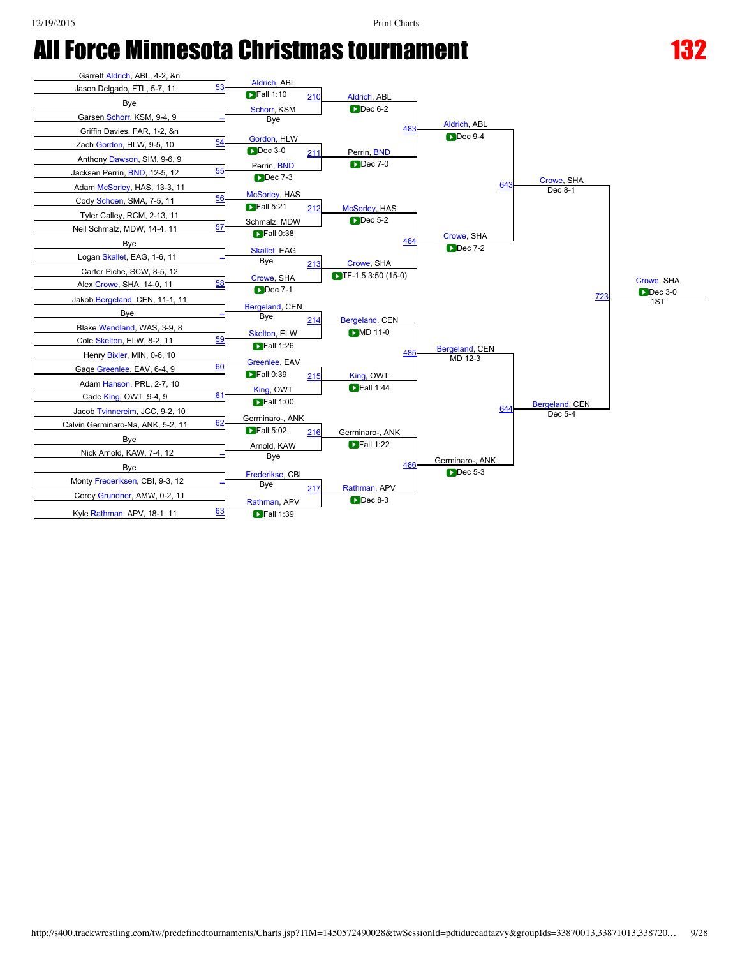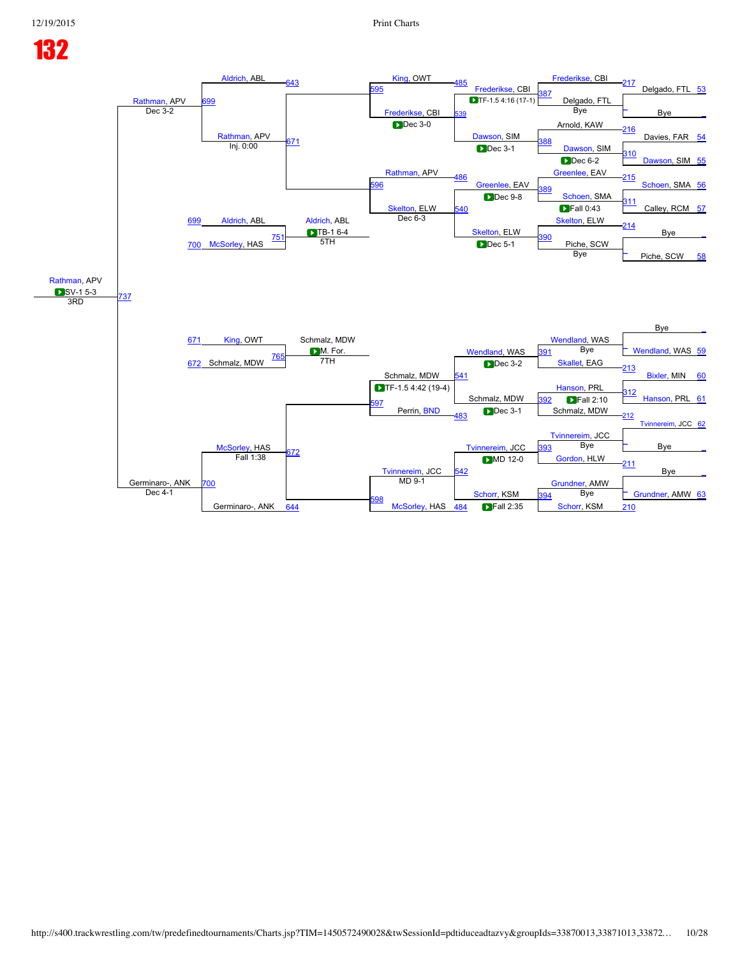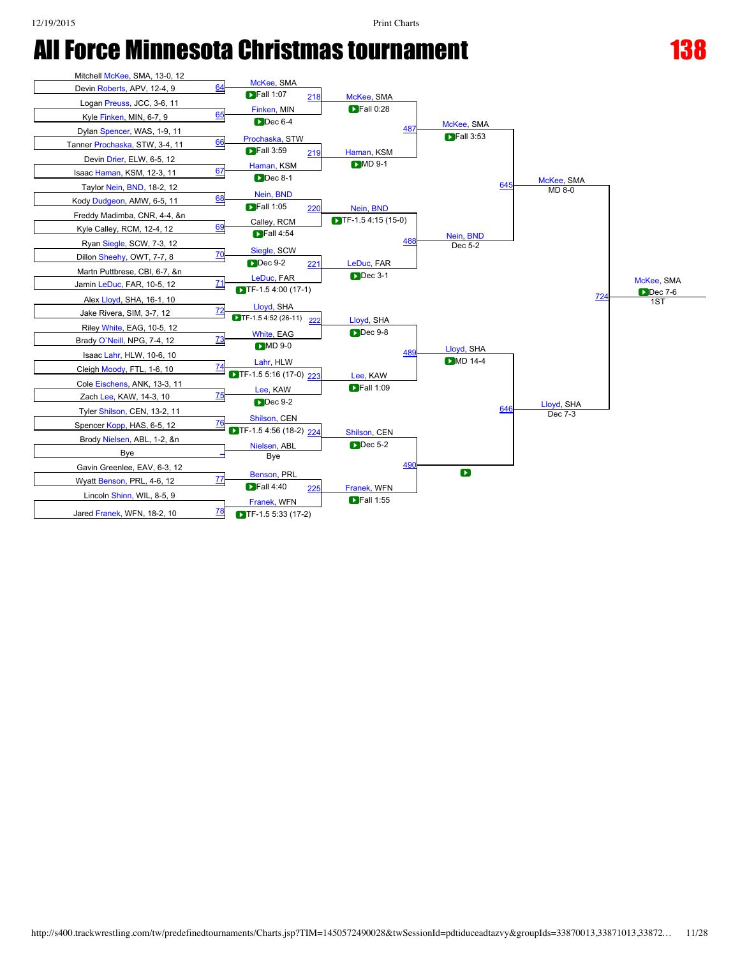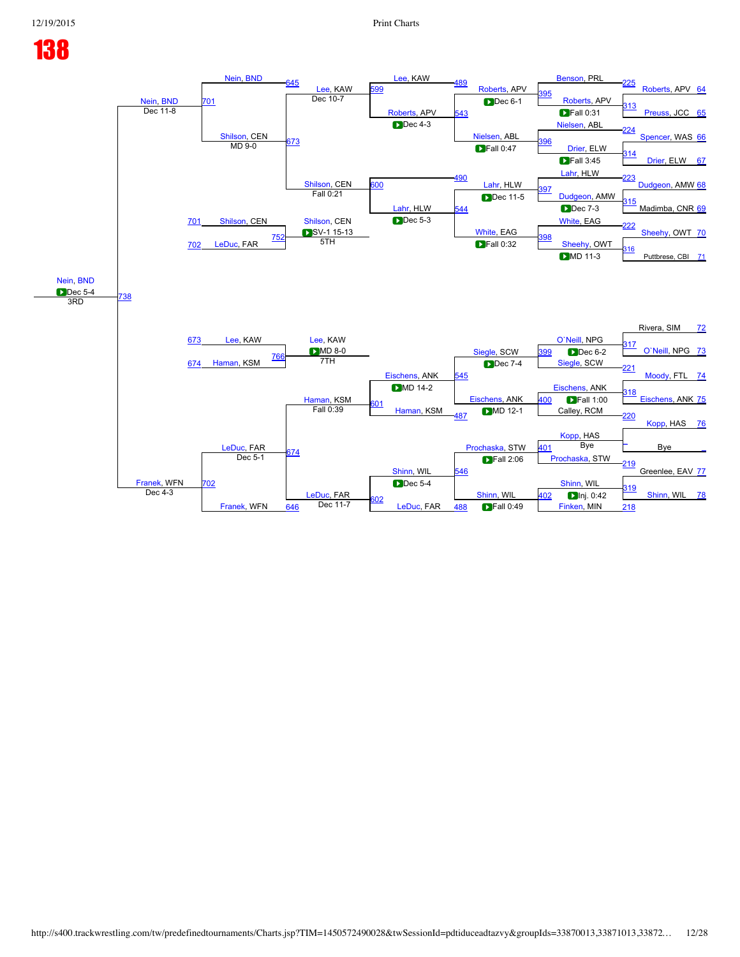## 12/19/2015 Print Charts

# 138

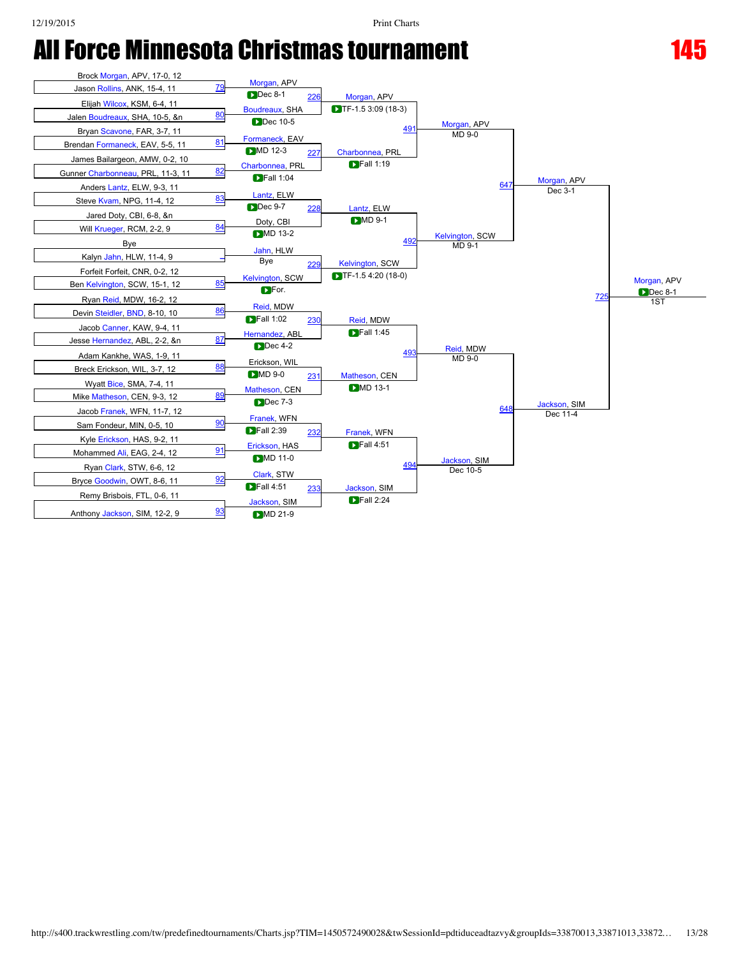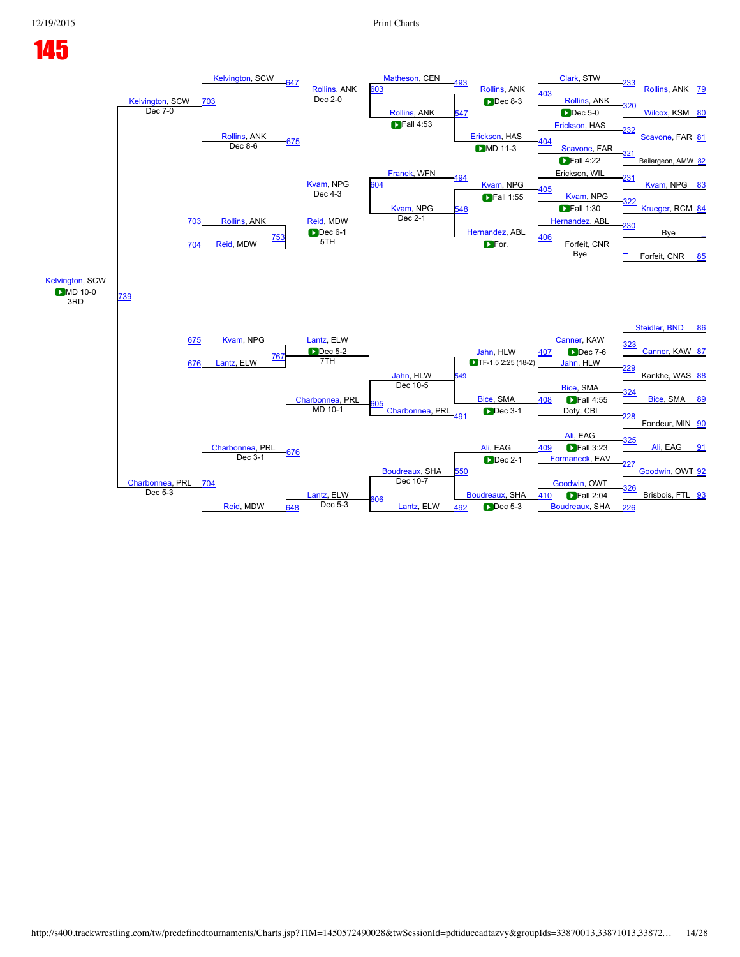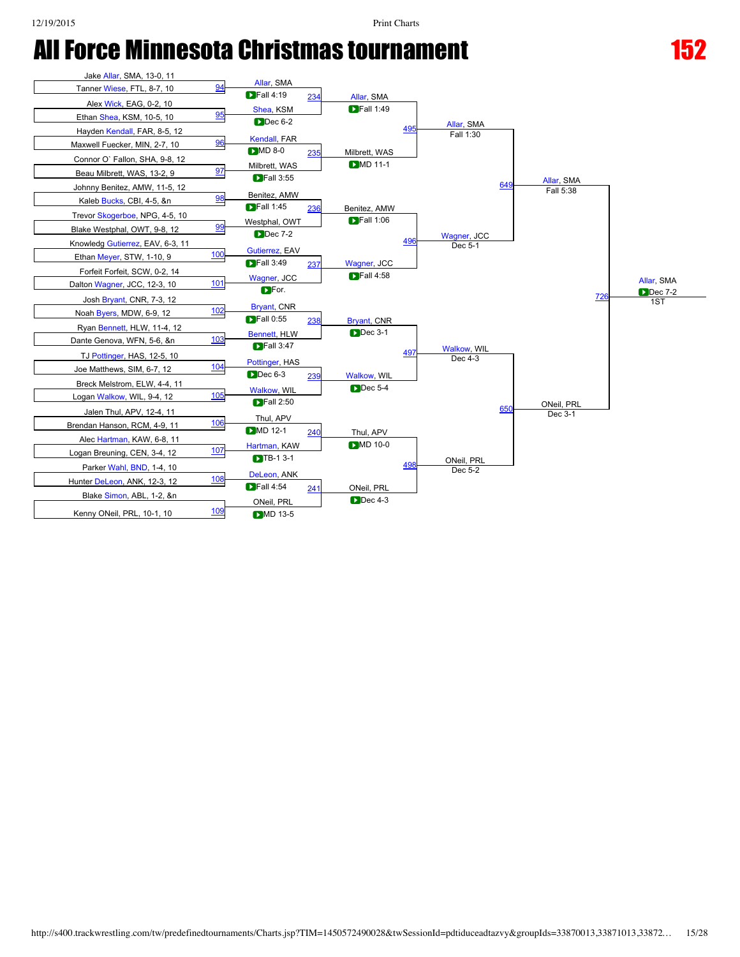

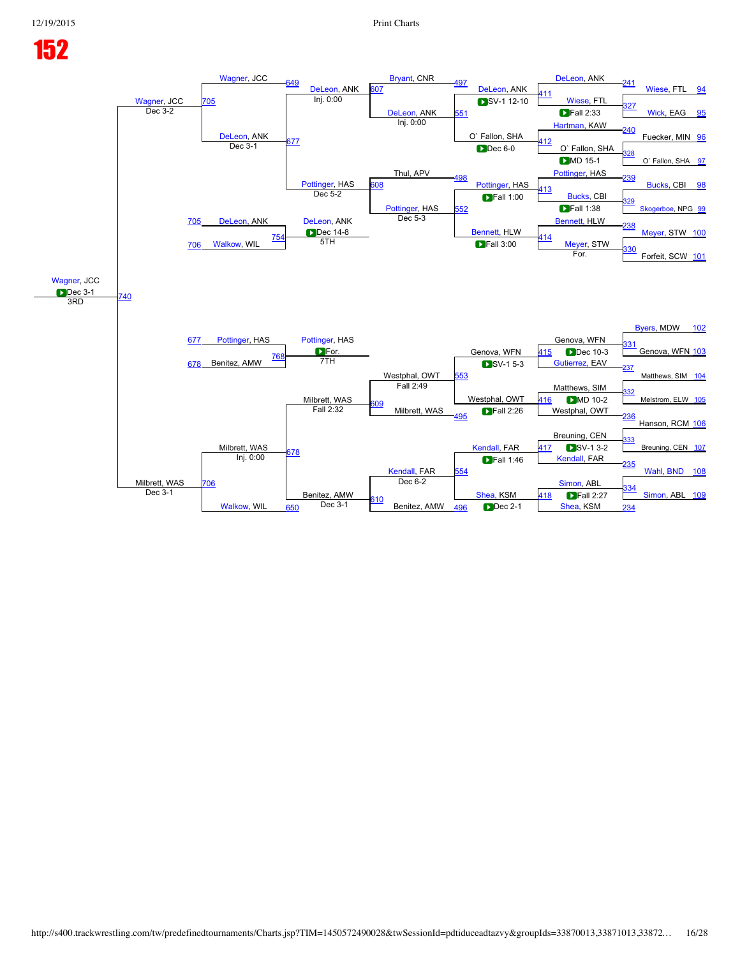## 12/19/2015 Print Charts

# 152

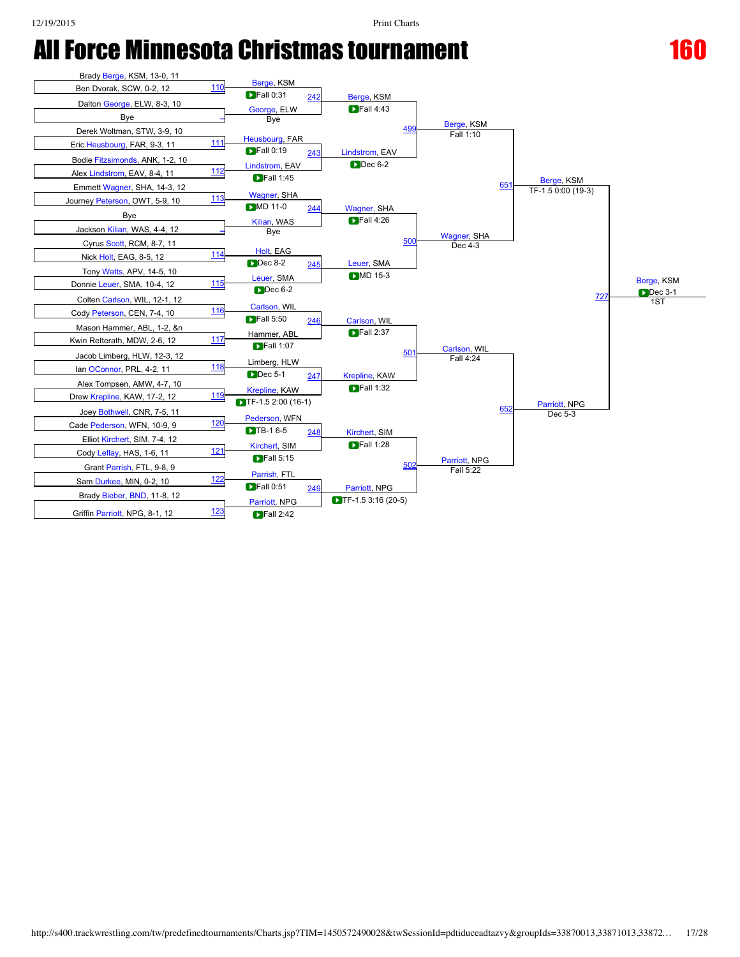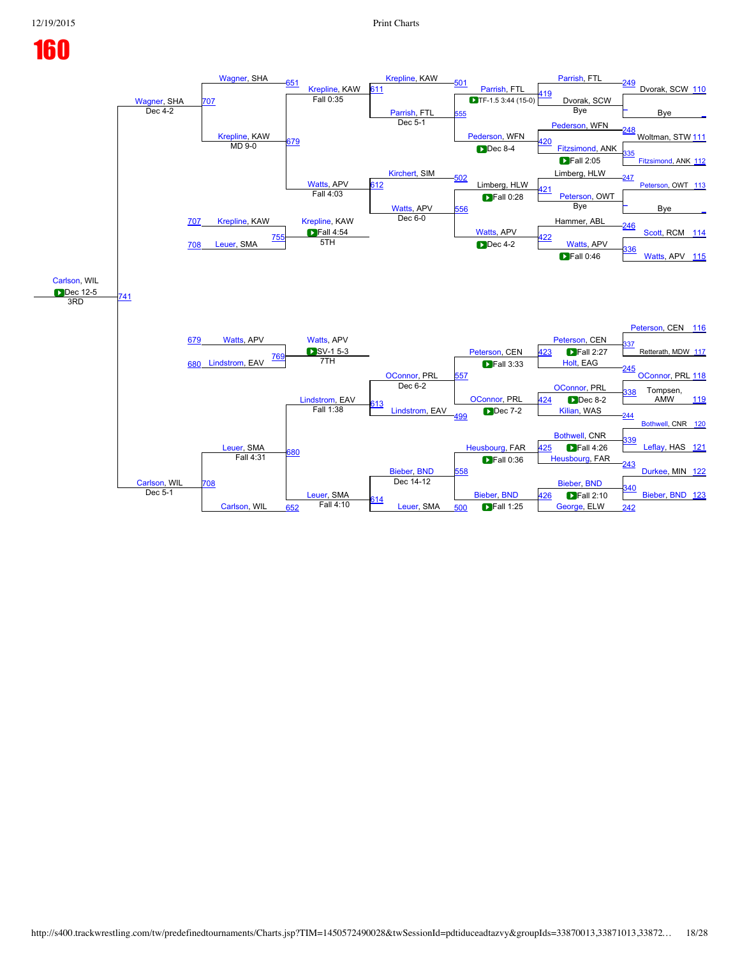## [Wagner,](javascript:viewProfile(154830009)) SHA<br>Dec 4-2 [Wagner](javascript:viewProfile(154830009)), SHA [651](javascript:openBoutSheet(53,) [Krepline](javascript:viewProfile(155475009)), KAW<br>Fall 0:35 [Krepline,](javascript:viewProfile(155475009)) KAW [501](javascript:openBoutSheet(39,) [Parrish,](javascript:viewProfile(1389236009)) FTL [Parrish,](javascript:viewProfile(1389236009)) FTL [249](javascript:openBoutSheet(31,) Dvorak, SCW [110](javascript:openBoutSheet(1,) [707](javascript:openBoutSheet(57,)  $311$ **Fall 0:35** Dvorak, SCW **Drawing Contract Contract Contract Contract Contract Contract Contract Contract Contract Contract Contract Contract Contract Contract Contract Contract Contract Contract Contract Contract Contract** [Parrish,](javascript:viewProfile(1389236009)) FTL [555](javascript:openBoutSheet(45,)  $\frac{1}{\text{Dec 4-2}}$  Bye  $\frac{1}{\text{Dec 4-2}}$  Bye  $\frac{1}{\text{Dec 4-2}}$ [Krepline](javascript:viewProfile(155475009)), KAW<br>MD 9-0 Bye Dec  $5-1$ [Pederson](javascript:viewProfile(660788009)), WFN [Pederson,](javascript:viewProfile(660788009)) WFN [248](javascript:openBoutSheet(29,) Woltman, STW [111](javascript:openBoutSheet(3,) <u>Freedson, when a [420](javascript:openBoutSheet(35,)</u><br>Dec 8-4 [Fitzsimond](javascript:viewProfile(620536009)), ANK [Kirchert](javascript:viewProfile(57356009)), SIM **Dec 8-4** [335](javascript:openBoutSheet(20,) [Fitzsimond,](javascript:viewProfile(620536009)) ANK [112](javascript:openBoutSheet(4,) [Watts](javascript:viewProfile(17581009)), APV<br>Fall 4:03 **Fall 2:05** [502](javascript:openBoutSheet(42,) Limberg, HLW Limberg, HLW [Peterson,](javascript:viewProfile(22666096)) OWT [113](javascript:openBoutSheet(5,) [Krepline](javascript:viewProfile(155475009)), KAW [612](javascript:openBoutSheet(50,) 121 [Peterson,](javascript:viewProfile(22666096)) OWT [Watts](javascript:viewProfile(17581009)), APV [556](javascript:openBoutSheet(46,)  $\blacksquare$ Fall 0:28 Bye [\\_](javascript:openBoutSheet(6,) [707](javascript:openBoutSheet(57,) Bye [Krepline,](javascript:viewProfile(155475009)) KAW **Fall 4:54** Dec  $6-0$ [Watts](javascript:viewProfile(17581009)), APV Hammer, ABL [246](javascript:openBoutSheet(25,) [Scott,](javascript:viewProfile(603883009)) RCM [114](javascript:openBoutSheet(7,) [708](javascript:openBoutSheet(58,) [Leuer](javascript:viewProfile(21311009)), SMA  $\frac{755}{5}$  $\frac{755}{5}$  $\frac{755}{5}$   $\frac{1}{5}$   $\frac{1}{2}$   $\frac{1}{2}$   $\frac{1}{2}$   $\frac{1}{2}$   $\frac{1}{2}$   $\frac{1}{2}$   $\frac{1}{2}$   $\frac{1}{2}$   $\frac{1}{2}$   $\frac{1}{2}$   $\frac{1}{2}$   $\frac{1}{2}$   $\frac{1}{2}$   $\frac{1}{2}$   $\frac{1}{2}$   $\frac{1}{2}$   $\frac{1}{2}$   $\frac{1}{2}$   $\frac{1}{2}$   $\frac{1}{2}$ 5TH Dec 4-2 [Watts,](javascript:viewProfile(17581009)) APV [336](javascript:openBoutSheet(24,) [Watts](javascript:viewProfile(17581009)), APV [115](javascript:openBoutSheet(8,) [Carlson](javascript:viewProfile(154864009)), WIL **Dec 12-5** [741](javascript:openBoutSheet(60,) [679](javascript:openBoutSheet(55,) **D**Fall 0:46 3RD [Peterson](javascript:viewProfile(145987009)), CEN [116](javascript:openBoutSheet(9,) [Watts](javascript:viewProfile(17581009)), APV Watts, APV [Peterson,](javascript:viewProfile(145987009)) CEN SV-1 5-3 [OConnor,](javascript:viewProfile(30386009)) PRL ■ [Peterson,](javascript:viewProfile(145987009)) CEN 423 ■ Peterson, CEN 423 [337](javascript:openBoutSheet(26,) Retterath, MDW [117](javascript:openBoutSheet(10,) [680](javascript:openBoutSheet(56,) [Lindstrom,](javascript:viewProfile(162771009)) EAV <u>[769](javascript:openBoutSheet(62,)</u> **Fall 2:27** 7TH [557](javascript:openBoutSheet(47,) [Holt](javascript:viewProfile(1385760009)), EAG [245](javascript:openBoutSheet(23,) [OConnor,](javascript:viewProfile(30386009)) PRL [118](javascript:openBoutSheet(11,) [Lindstrom](javascript:viewProfile(162771009)), EAV [OConnor](javascript:viewProfile(30386009)), PRL Dec 6-2 [OConnor,](javascript:viewProfile(30386009)) PRL 38 Tompsen, AMW [119](javascript:openBoutSheet(12,) [613](javascript:openBoutSheet(51,) [Lindstrom,](javascript:viewProfile(162771009)) EAV [424](javascript:openBoutSheet(41,) Dec 8-2 [Leuer](javascript:viewProfile(21311009)), SMA Fall 1:38 [499](javascript:openBoutSheet(33,) [Kilian](javascript:viewProfile(26047096)), WAS [244](javascript:openBoutSheet(21,) [Bothwell,](javascript:viewProfile(105294009)) CNR [120](javascript:openBoutSheet(13,) [Bothwell,](javascript:viewProfile(105294009)) CNR [Bieber,](javascript:viewProfile(2892076)) [BND](javascript:viewClub(12862009))<br>Dec 14-12 [Heusbourg](javascript:viewProfile(302549009)), FAR 39 eflay, HAS [121](javascript:openBoutSheet(14,) [Carlson,](javascript:viewProfile(154864009)) WIL 80 [425](javascript:openBoutSheet(43,) **Fall 4:26** [708](javascript:openBoutSheet(58,) Fall 4:31 [558](javascript:openBoutSheet(48,) sbourg, FAR [243](javascript:openBoutSheet(19,) [Durkee](javascript:viewProfile(16978094)), MIN [122](javascript:openBoutSheet(15,) [Leuer,](javascript:viewProfile(21311009)) SMA<br>Fall 4:10 [Bieber,](javascript:viewProfile(2892076)) [BND](javascript:viewClub(12862009)) [Bieber,](javascript:viewProfile(2892076)) [BND](javascript:viewClub(12862009)) <u>bieber, BND</u><br>Dec 5-1 Dec 5-1 Dec 5-1 December, SMA Dec 5-1 December, BND 426 December, BND [340](javascript:openBoutSheet(32,) [Bieber,](javascript:viewProfile(2892076)) [BND](javascript:viewClub(12862009)) [123](javascript:openBoutSheet(16,) Dec 5-1 [Carlson,](javascript:viewProfile(154864009)) WIL [614](javascript:openBoutSheet(52,) [Leuer](javascript:viewProfile(21311009)), SMA [426](javascript:openBoutSheet(44,) **Fall** 2:10  $\overline{652}$  $\overline{652}$  $\overline{652}$  Fall 4:10  $\overline{51}$  Leuer, SMA [500](javascript:openBoutSheet(36,) Fall 1:25 [George](javascript:viewProfile(210071)), ELW [242](javascript:openBoutSheet(17,)  $\Gamma$ Fall 3:33 Dec 7-2  $\blacktriangleright$  Fall 0:36  $\Gamma$ Fall 1:25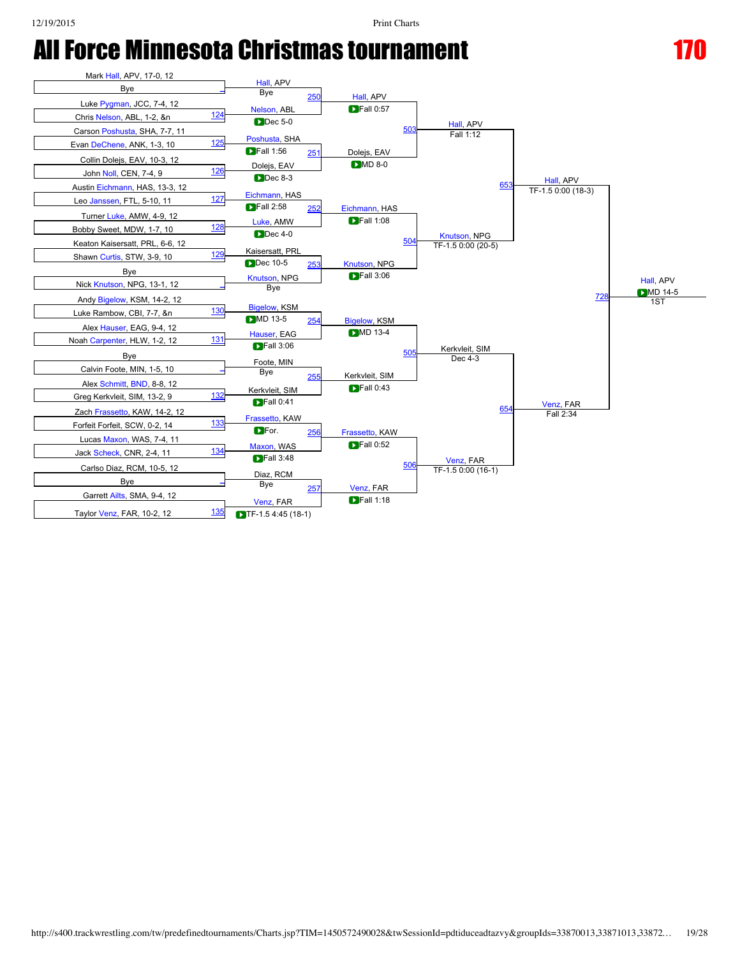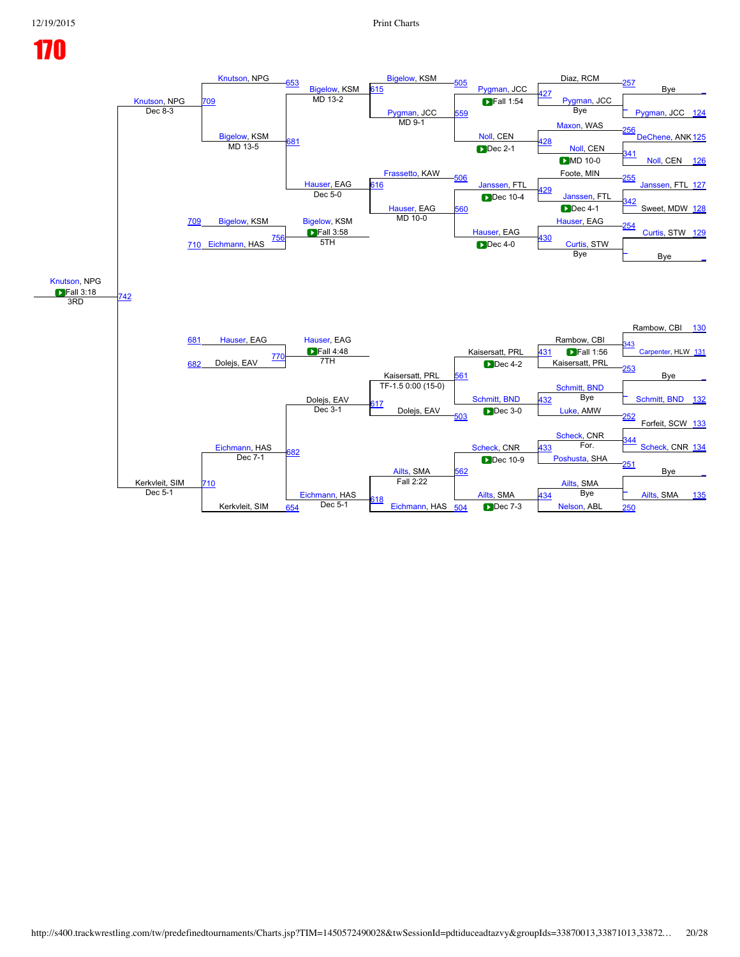## [Knutson](javascript:viewProfile(63705009)), NPG<br>Dec 8-3 [Knutson,](javascript:viewProfile(63705009)) NPG [Bigelow](javascript:viewProfile(2025355009)), KSM [Bigelow,](javascript:viewProfile(2025355009)) KSM [505](javascript:openBoutSheet(39,) [Pygman,](javascript:viewProfile(101957009)) JCC Diaz, RCM [257](javascript:openBoutSheet(31,) Bye [\\_](javascript:openBoutSheet(1,) [709](javascript:openBoutSheet(57,) [615](javascript:openBoutSheet(49,) 227 [Pygman,](javascript:viewProfile(101957009)) JCC [Pygman](javascript:viewProfile(101957009)), JCC [559](javascript:openBoutSheet(45,)  $\blacksquare$ Fall 1:54 Let the term of the contract of the Dec 8-3 [Pygman](javascript:viewProfile(101957009)), JCC [124](javascript:openBoutSheet(2,) Pygman, JCC 124 Pygman, JCC 124 Pygman, JCC 124 [Bigelow](javascript:viewProfile(2025355009)), KSM<br>MD 13-5 Bye  $MD 9-1$ [Noll](javascript:viewProfile(623048009)), CEN [Maxon](javascript:viewProfile(154839009)), WAS [256](javascript:openBoutSheet(29,) [DeChene](javascript:viewProfile(1346096009)), ANK<sub>[125](javascript:openBoutSheet(3,)</sub> MD 13-5 [681](javascript:openBoutSheet(55,) **681 CONFIDENTIAL CONSUMING A** 28 **MON**, CEN [Frassetto](javascript:viewProfile(109851009)), KAW **Dec 2-1** [341](javascript:openBoutSheet(20,) [Noll,](javascript:viewProfile(623048009)) CEN [126](javascript:openBoutSheet(4,) [Hauser](javascript:viewProfile(623502009)), EAG  $DMD 10-0$ [506](javascript:openBoutSheet(42,) [Janssen](javascript:viewProfile(1440181009)), FTL Foote, MIN  $55$ [Janssen](javascript:viewProfile(1440181009)), FTL [127](javascript:openBoutSheet(5,) [Bigelow](javascript:viewProfile(2025355009)), KSM  $\frac{316}{2}$ <mark><del>129</del> [Janssen](javascript:viewProfile(1440181009)), FTL</mark> Dec 5-0 [Hauser](javascript:viewProfile(623502009)), EAG [560](javascript:openBoutSheet(46,) **Dec** 10-4 <u>42</u> Sweet, MDW [128](javascript:openBoutSheet(6,) [709](javascript:openBoutSheet(57,) **Dec 4-1** [Bigelow,](javascript:viewProfile(2025355009)) KSM **Fall 3:58**  $MD 10-0$ [Hauser](javascript:viewProfile(623502009)), EAG [Hauser,](javascript:viewProfile(623502009)) EAG [Curtis](javascript:viewProfile(67140009)), STW [129](javascript:openBoutSheet(7,) [710](javascript:openBoutSheet(58,) [Eichmann,](javascript:viewProfile(55105009)) HAS  $\frac{756}{571}$  $\frac{756}{571}$  $\frac{756}{571}$   $\frac{430}{571}$  $\frac{430}{571}$  $\frac{430}{571}$ 5TH Dec 40 [Curtis](javascript:viewProfile(67140009)), STW [\\_](javascript:openBoutSheet(24,) Bye [\\_](javascript:openBoutSheet(8,) [Knutson,](javascript:viewProfile(63705009)) NPG **Fall 3:18** [742](javascript:openBoutSheet(60,) [681](javascript:openBoutSheet(55,) Bye 3RD Rambow, CBI [130](javascript:openBoutSheet(9,) [Hauser](javascript:viewProfile(623502009)), EAG Hauser, EAG Hauser, EAG Rambow, CBI **Fall 4:48** Kaisersatt, PRL **Example 21 September 21 September 21 September 21 September 21 September 21 September 21 September 21 Septembe**  $\frac{43}{2}$ enter, HLW [131](javascript:openBoutSheet(10,) [682](javascript:openBoutSheet(56,) Dolejs, EAV [770](javascript:openBoutSheet(62,) [431](javascript:openBoutSheet(40,) **Fall** 1:56 7TH 61 Kaisersatt, PRL [253](javascript:openBoutSheet(23,) Bye [\\_](javascript:openBoutSheet(11,) Dolejs, EAV TF-1.5 0:00 (15-0) [Schmitt](javascript:viewProfile(734736009)), [BND](javascript:viewClub(12862009)) [Schmitt,](javascript:viewProfile(734736009)) [BND](javascript:viewClub(12862009)) [\\_](javascript:openBoutSheet(28,) [Schmitt](javascript:viewProfile(734736009)), [BND](javascript:viewClub(12862009)) [132](javascript:openBoutSheet(12,) [617](javascript:openBoutSheet(51,) Dolejs, EAV [432](javascript:openBoutSheet(41,) Bye [Eichmann](javascript:viewProfile(55105009)), HAS Dec 3-1 [503](javascript:openBoutSheet(33,) [Luke,](javascript:viewProfile(105133009)) AMW [252](javascript:openBoutSheet(21,) Forfeit, SCW [133](javascript:openBoutSheet(13,) [Scheck,](javascript:viewProfile(2012032009)) CNR [Ailts](javascript:viewProfile(162379009)), SMA<br>Fall 2:22 [Scheck](javascript:viewProfile(2012032009)), CNR [344](javascript:openBoutSheet(30,) eck, CNR [134](javascript:openBoutSheet(14,) Kerkvleit, SIM [682](javascript:openBoutSheet(56,) [433](javascript:openBoutSheet(43,) For. [710](javascript:openBoutSheet(58,) Dec 7-1 [562](javascript:openBoutSheet(48,) oshusta, SHA [251](javascript:openBoutSheet(19,) Bye [\\_](javascript:openBoutSheet(15,) [Eichmann](javascript:viewProfile(55105009)), HAS<br>Dec 5-1 [Ailts](javascript:viewProfile(162379009)), SMA [Ailts](javascript:viewProfile(162379009)), SMA [\\_](javascript:openBoutSheet(32,) <sup>D</sup> [Ailts,](javascript:viewProfile(162379009)) SMA [135](javascript:openBoutSheet(16,) Dec 5-1 Kerkvleit, SIM [618](javascript:openBoutSheet(52,)  $\frac{654}{654}$  $\frac{654}{654}$  $\frac{654}{654}$  Dec 5-1  $\frac{654}{654}$  [Eichmann,](javascript:viewProfile(55105009)) HAS  $\frac{504}{654}$  $\frac{504}{654}$  $\frac{504}{654}$  Dec 7-3 [Nelson,](javascript:viewProfile(606620009)) ABL [250](javascript:openBoutSheet(17,) [434](javascript:openBoutSheet(44,) Bye  $\blacksquare$ Dec 4-0 **D**Dec 4-2 Dec 3-0 Dec 10-9 Dec 7-3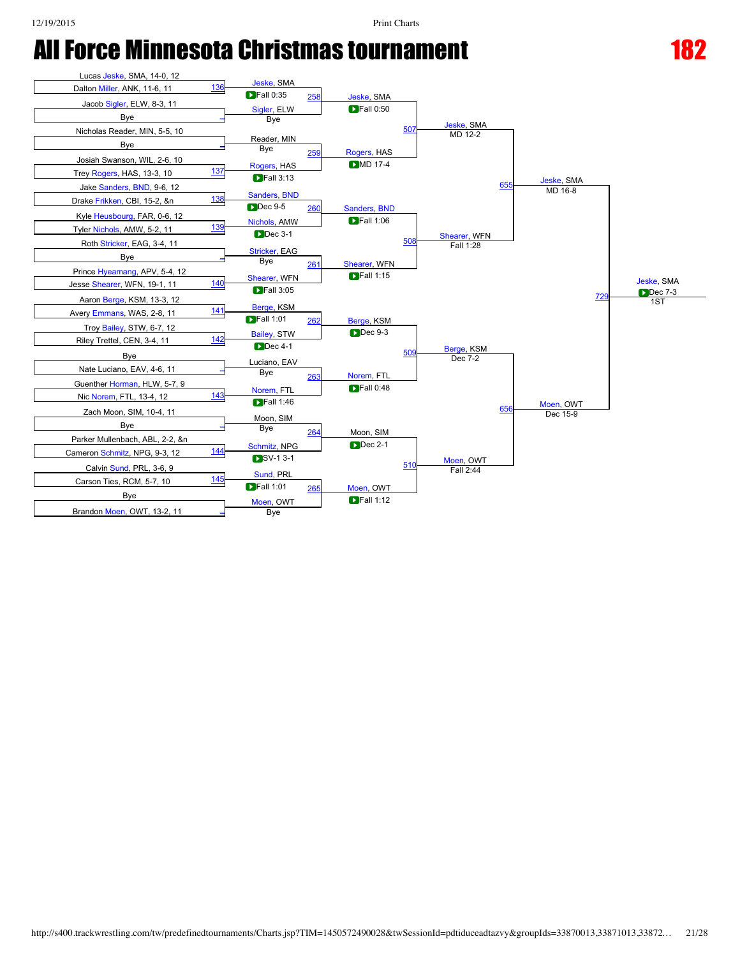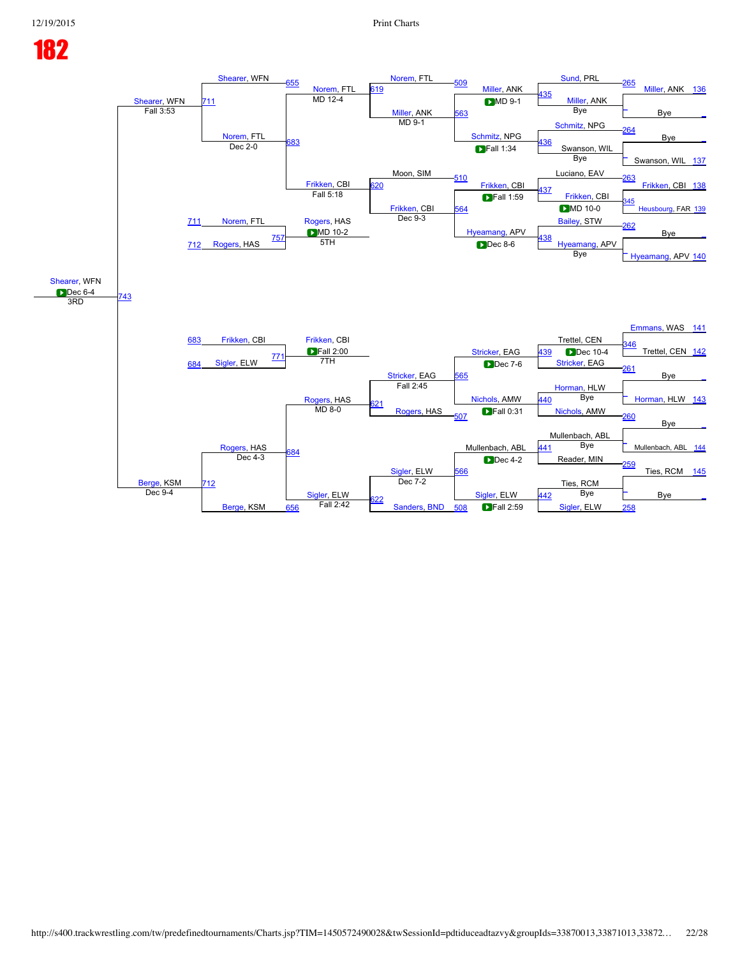## 182 [Shearer](javascript:viewProfile(541740096)), WFN<br>Fall 3:53 [Shearer,](javascript:viewProfile(541740096)) WFN [655](javascript:openBoutSheet(53,) [Norem,](javascript:viewProfile(1490848009)) FTL<br>MD 12-4 [Norem](javascript:viewProfile(1490848009)), FTL [509](javascript:openBoutSheet(39,) [Miller](javascript:viewProfile(57923009)), ANK [Sund,](javascript:viewProfile(618532009)) PRL [265](javascript:openBoutSheet(31,) [Miller,](javascript:viewProfile(57923009)) ANK [136](javascript:openBoutSheet(1,) [711](javascript:openBoutSheet(57,) [619](javascript:openBoutSheet(49,)  $\frac{\text{435}}{\text{MD 12-4}}$  $\frac{\text{435}}{\text{MD 12-4}}$  $\frac{\text{435}}{\text{MD 12-4}}$  MD 12-4 [Miller](javascript:viewProfile(57923009)), ANK [Miller,](javascript:viewProfile(57923009)) ANK [563](javascript:openBoutSheet(45,) **DMD 9-1** [\\_](javascript:openBoutSheet(18,) Fall 3:53 Bye [\\_](javascript:openBoutSheet(2,) [Norem](javascript:viewProfile(1490848009)), FTL Bye [Schmitz,](javascript:viewProfile(57206009)) NPG [Schmitz,](javascript:viewProfile(57206009)) NPG [264](javascript:openBoutSheet(29,) Bye [\\_](javascript:openBoutSheet(3,) <u>Commun, WILSON, 2006, 2006, 2006, 2006, 2006, 2006, 2006, 2006, 2007, 2008, 2008, 2009, 2008, 2009, 2009, 2009, 2009, 2009, 2009, 2009, 2009, 2009, 2009, 2009, 2009, 2009, 2009, 2009, 2009, 2009, 2009, 2009, 2009, 2009, 2</u> Dec 2-0 Moon, SIM **D**Fall 1:34 [\\_](javascript:openBoutSheet(20,) Swanson, WIL [137](javascript:openBoutSheet(4,) [Frikken](javascript:viewProfile(518893096)), CBI<br>Fall 5:18 Bye [510](javascript:openBoutSheet(42,) [Frikken,](javascript:viewProfile(518893096)) CBI Luciano, EAV [263](javascript:openBoutSheet(27,) [Frikken](javascript:viewProfile(518893096)), CBI [138](javascript:openBoutSheet(5,) [Norem,](javascript:viewProfile(1490848009)) FTL  $\frac{320}{2}$ <mark>[437](javascript:openBoutSheet(37,)</mark> [Frikken,](javascript:viewProfile(518893096)) CBI [Frikken,](javascript:viewProfile(518893096)) CBI [564](javascript:openBoutSheet(46,)  $\blacksquare$ Fall 1:59 [345](javascript:openBoutSheet(22,) usbourg, FAR [139](javascript:openBoutSheet(6,) [711](javascript:openBoutSheet(57,)  $DMD 10-0$ [Rogers](javascript:viewProfile(548522096)), HAS **D**MD 10-2 Dec 9-3 [Hyeamang,](javascript:viewProfile(559817096)) APV [Bailey,](javascript:viewProfile(997358009)) STW [262](javascript:openBoutSheet(25,) **B**ye [712](javascript:openBoutSheet(58,) [Rogers,](javascript:viewProfile(548522096)) HAS  $\frac{757}{571}$  $\frac{757}{571}$  $\frac{757}{571}$   $\frac{438}{571}$  $\frac{438}{571}$  $\frac{438}{571}$ <u>ster by the second of the second of the second of the second of the second of the second of the second of the s</u><br>The second of the second of the second of the second of the second of the second of the second of the second [Hyeamang,](javascript:viewProfile(559817096)) APV [140](javascript:openBoutSheet(8,) [Shearer](javascript:viewProfile(541740096)), WFN **Dec 6-4** [743](javascript:openBoutSheet(60,) [683](javascript:openBoutSheet(55,) Bye 3RD [Emmans,](javascript:viewProfile(67290009)) WAS [141](javascript:openBoutSheet(9,) [Frikken](javascript:viewProfile(518893096)), CBI [Frikken,](javascript:viewProfile(518893096)) CBI Frikken, CBI FRIKKEN, CEN **Fall 2:00** [Stricker](javascript:viewProfile(996532009)), EAG<br>Fall 2:45 [Stricker,](javascript:viewProfile(996532009)) EAG 439 D 46 Trettel, CEN [142](javascript:openBoutSheet(10,) [684](javascript:openBoutSheet(56,) [Sigler](javascript:viewProfile(1395030009)), ELW [771](javascript:openBoutSheet(62,) 139 Dec 10-4 7TH [565](javascript:openBoutSheet(47,) [Stricker,](javascript:viewProfile(996532009)) EAG [261](javascript:openBoutSheet(23,) Bye [\\_](javascript:openBoutSheet(11,) [Rogers](javascript:viewProfile(548522096)), HAS [Horman,](javascript:viewProfile(130444009)) HLW [Nichols,](javascript:viewProfile(114387009)) AMW [Horman,](javascript:viewProfile(130444009)) HLW [143](javascript:openBoutSheet(12,) [621](javascript:openBoutSheet(51,) [Rogers,](javascript:viewProfile(548522096)) HAS [440](javascript:openBoutSheet(41,) Bye [Rogers,](javascript:viewProfile(548522096)) HAS  $MD 8-0$ [507](javascript:openBoutSheet(33,) [Nichols](javascript:viewProfile(114387009)), AMW [260](javascript:openBoutSheet(21,) Bye [\\_](javascript:openBoutSheet(13,) Mullenbach, ABL [Sigler,](javascript:viewProfile(1395030009)) ELW<br>Dec 7-2 Mullenbach, ABL [\\_](javascript:openBoutSheet(30,) Mullenbach, ABL [144](javascript:openBoutSheet(14,) [Berge](javascript:viewProfile(53417009)), KSM [684](javascript:openBoutSheet(56,) [441](javascript:openBoutSheet(43,) Bye [712](javascript:openBoutSheet(58,) Dec 4-3 [566](javascript:openBoutSheet(48,) Reader, MIN [259](javascript:openBoutSheet(19,) Ties, RCM [145](javascript:openBoutSheet(15,) [Sigler,](javascript:viewProfile(1395030009)) ELW<br>Fall 2:42 Ties, RCM [Sigler](javascript:viewProfile(1395030009)), ELW  $\frac{1}{\sqrt{2}}$  Bye Bye Bye Bigler, ELW  $\frac{1}{\sqrt{2}}$  Bye Bye Bye Bye Dec 9-4 [442](javascript:openBoutSheet(44,) Bye **D**Dec 8-6 **D**Dec 7-6 **DFall 0:31 D**Dec 4-2

[622](javascript:openBoutSheet(52,)

 $\frac{656}{656}$  $\frac{656}{656}$  $\frac{656}{656}$  Fall 2:42  $\frac{622}{656}$  [Sanders](javascript:viewProfile(555095009)), [BND](javascript:viewClub(12862009))  $\frac{508}{656}$  $\frac{508}{656}$  $\frac{508}{656}$  Fall 2:59 [Sigler,](javascript:viewProfile(1395030009)) ELW [258](javascript:openBoutSheet(17,)

Fall 2:59

[Berge,](javascript:viewProfile(53417009)) KSM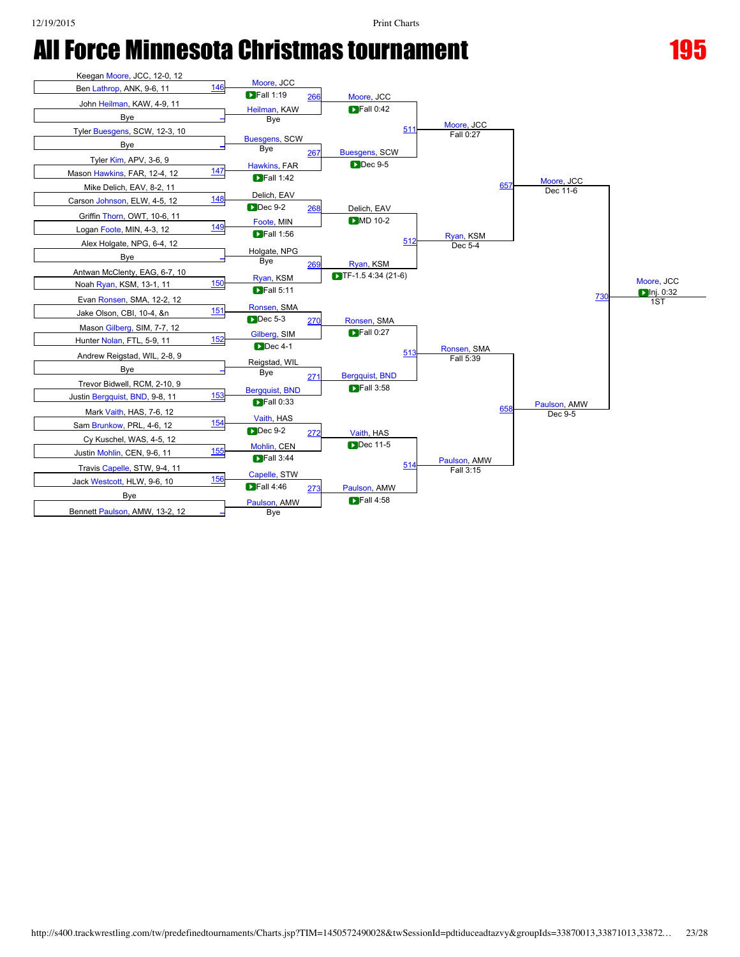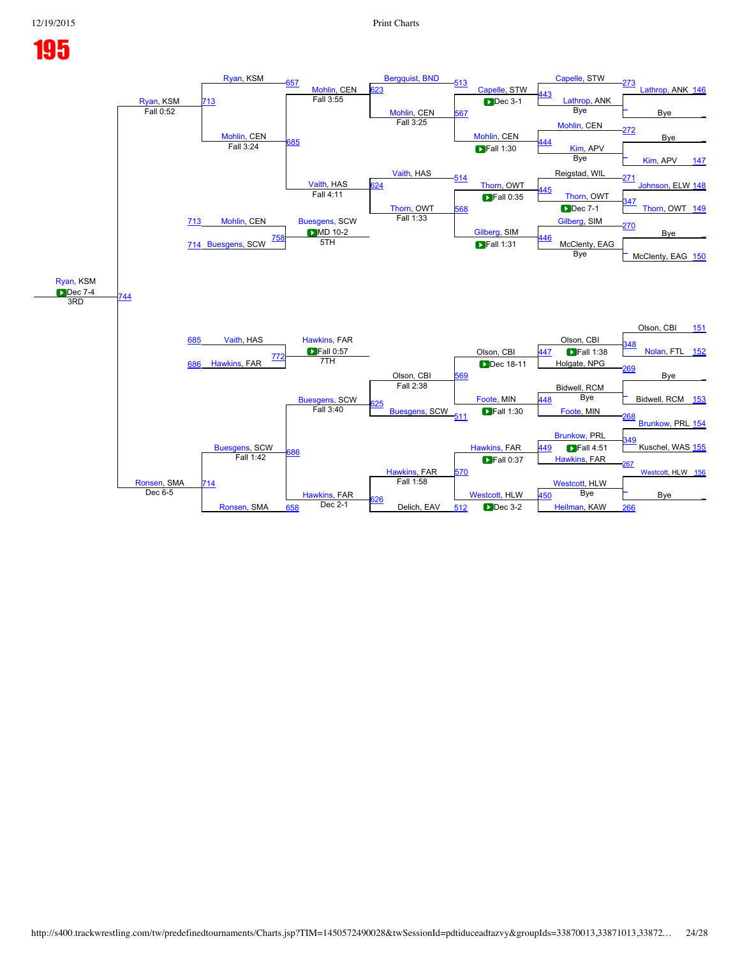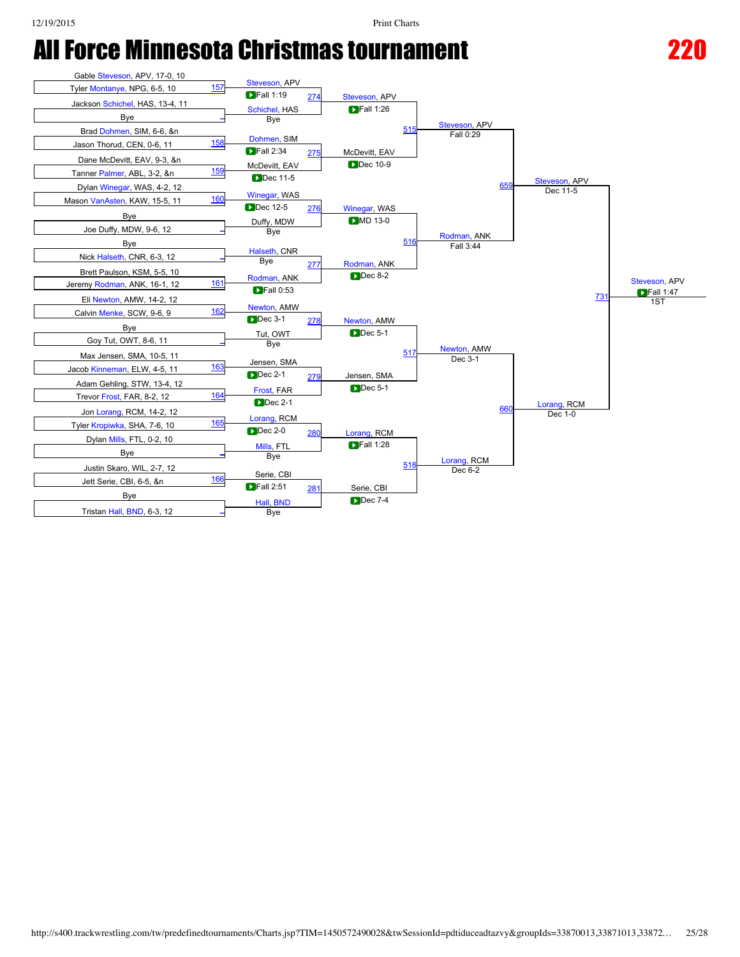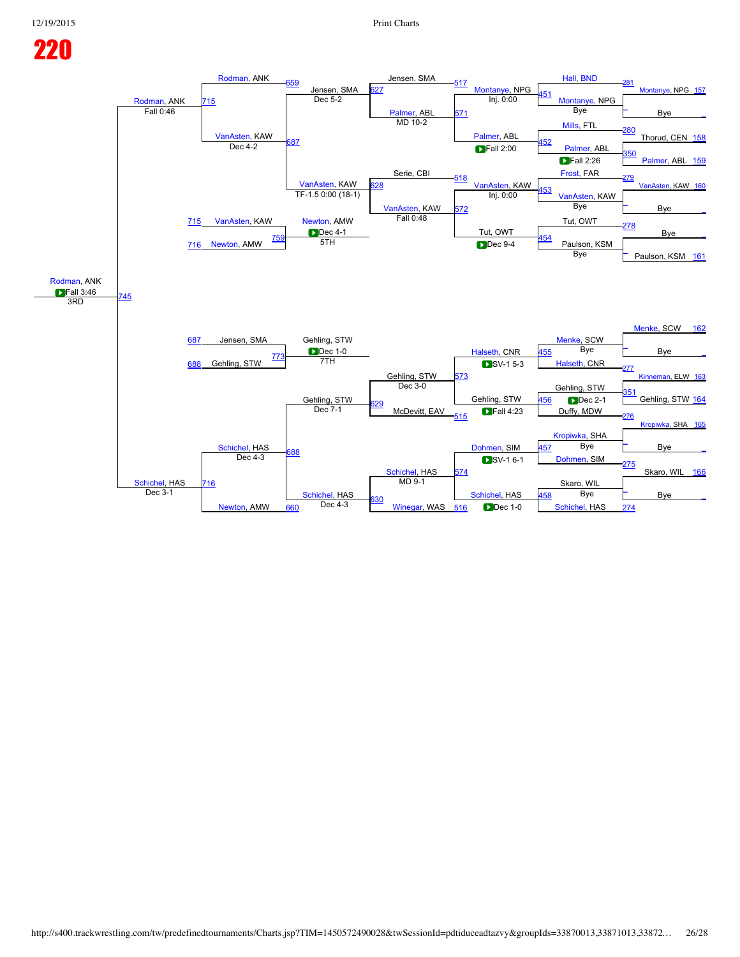## [Rodman,](javascript:viewProfile(58053009)) ANK<br>Fall 0:46 [Rodman,](javascript:viewProfile(58053009)) ANK [659](javascript:openBoutSheet(53,) Jensen, SMA<br>Dec 5-2 Jensen, SMA [517](javascript:openBoutSheet(39,) [Montanye,](javascript:viewProfile(154594009)) NPG [Hall,](javascript:viewProfile(69698009)) [BND](javascript:viewClub(12862009)) [281](javascript:openBoutSheet(31,) [Montanye,](javascript:viewProfile(154594009)) NPG [157](javascript:openBoutSheet(1,) [715](javascript:openBoutSheet(57,)  $\overline{27}$ Erisen, JWIA **DET**<br>Dec 5-2 **[Montanye,](javascript:viewProfile(154594009)) NPG** Montanye, NPG [Palmer,](javascript:viewProfile(150180009)) ABL [571](javascript:openBoutSheet(45,)<br>MD 10-2 Inj. 0:00 [\\_](javascript:openBoutSheet(18,) Fall 0:46 Bye [\\_](javascript:openBoutSheet(2,) [VanAsten,](javascript:viewProfile(592677009)) KAW Montanye,<br>Bye [Palmer](javascript:viewProfile(150180009)), ABL [Mills](javascript:viewProfile(544659096)), FTL [280](javascript:openBoutSheet(29,) Thorud, CEN [158](javascript:openBoutSheet(3,) <u>[687](javascript:openBoutSheet(55,)</u> **bec** 4-2 **bec** 4-2 **bec** 4-2 **bec** 4-2 **c** 587 **bec** 4-2 **c** 587 **bec** 4-2 **c** 587 Dec 4-2 Serie, CBI [350](javascript:openBoutSheet(20,) [Palmer](javascript:viewProfile(150180009)), ABL [159](javascript:openBoutSheet(4,) [VanAsten,](javascript:viewProfile(592677009)) KAW  $F$ all 2:26 [518](javascript:openBoutSheet(42,) [VanAsten](javascript:viewProfile(592677009)), KAW [Frost](javascript:viewProfile(95846009)), FAR [279](javascript:openBoutSheet(27,) [VanAsten](javascript:viewProfile(592677009)), KAW [160](javascript:openBoutSheet(5,) [VanAsten,](javascript:viewProfile(592677009)) KAW [628](javascript:openBoutSheet(50,)  $\frac{\text{VanAsteri, KWW}}{1}$ , KKW  $\frac{626}{1}$  [VanAsten,](javascript:viewProfile(592677009)) KAW  $\frac{453}{1}$  $\frac{453}{1}$  $\frac{453}{1}$  VanAsten, KAW [VanAsten](javascript:viewProfile(592677009)), KAW [572](javascript:openBoutSheet(46,) Inj. 0:00 [\\_](javascript:openBoutSheet(22,) B<sub>ve</sub> [715](javascript:openBoutSheet(57,) Bye [Newton](javascript:viewProfile(155410009)), AMW **Dec 4-1** Fall 0:48 Tut, OWT Tut, OWT [278](javascript:openBoutSheet(25,) Bye [\\_](javascript:openBoutSheet(7,) [716](javascript:openBoutSheet(58,) [Newton](javascript:viewProfile(155410009)), AMW  $\frac{759}{571}$  $\frac{759}{571}$  $\frac{759}{571}$  [454](javascript:openBoutSheet(38,) <u>bec 4-1</u><br>5TH **Dec 9-4** Paulson, KSM [\\_](javascript:openBoutSheet(24,) Paulson, KSM [161](javascript:openBoutSheet(8,) [Rodman](javascript:viewProfile(58053009)), ANK **Fall 3:46** [745](javascript:openBoutSheet(60,) [687](javascript:openBoutSheet(55,) Bye 3RD [Menke,](javascript:viewProfile(1965731009)) SCW [162](javascript:openBoutSheet(9,) Jensen, SMA Gehling, STW **[Menke](javascript:viewProfile(1965731009)), SCW Dec** 1-0 Gehling, STW<br>Dec 3-0 [Halseth,](javascript:viewProfile(119821009)) CNR [\\_](javascript:openBoutSheet(26,) Bye [\\_](javascript:openBoutSheet(10,) [688](javascript:openBoutSheet(56,) Gehling, STW [773](javascript:openBoutSheet(62,) [455](javascript:openBoutSheet(40,) Bye 7TH [573](javascript:openBoutSheet(47,) [Halseth,](javascript:viewProfile(119821009)) CNR [277](javascript:openBoutSheet(23,) eman, ELW [163](javascript:openBoutSheet(11,) Gehling, STW Gehling, STW Gehling, STW [351](javascript:openBoutSheet(28,) Gehling, STW [164](javascript:openBoutSheet(12,) [629](javascript:openBoutSheet(51,) McDevitt, EAV [456](javascript:openBoutSheet(41,) Dec 2-1 [Schichel,](javascript:viewProfile(105155009)) HAS Dec 7-1 [515](javascript:openBoutSheet(33,) Duffy, MDW [276](javascript:openBoutSheet(21,) [Kropiwka](javascript:viewProfile(57858009)), SHA [165](javascript:openBoutSheet(13,) [Kropiwka](javascript:viewProfile(57858009)), SHA [Schichel,](javascript:viewProfile(105155009)) HAS [Dohmen](javascript:viewProfile(58256009)), SIM [\\_](javascript:openBoutSheet(30,) Bye [\\_](javascript:openBoutSheet(14,) [Schichel](javascript:viewProfile(105155009)), HAS [688](javascript:openBoutSheet(56,) [457](javascript:openBoutSheet(43,) Bye [716](javascript:openBoutSheet(58,) Dec 4-3 [574](javascript:openBoutSheet(48,) Johmen, SIM [275](javascript:openBoutSheet(19,) Skaro, WIL [166](javascript:openBoutSheet(15,) [Schichel,](javascript:viewProfile(105155009)) HAS<br>Dec 4-3 Skaro, WIL MD 9-1 [Schichel,](javascript:viewProfile(105155009)) HAS  $\overline{D}$  Bye  $\overline{D}$  Bye  $\overline{D}$  Bye  $\overline{D}$  Bye  $\overline{D}$ Dec 3-1 [Newton](javascript:viewProfile(155410009)), AMW [630](javascript:openBoutSheet(52,) 660 Dec 4-3 [Winegar,](javascript:viewProfile(55020009)) WAS [516](javascript:openBoutSheet(36,) DDec 1-0 [Schichel](javascript:viewProfile(105155009)), HAS [274](javascript:openBoutSheet(17,) [458](javascript:openBoutSheet(44,) Bye **D**Dec 9-4 SV-1 5-3  $\triangleright$  Fall 4:23 SV-1 6-1 Dec 1-0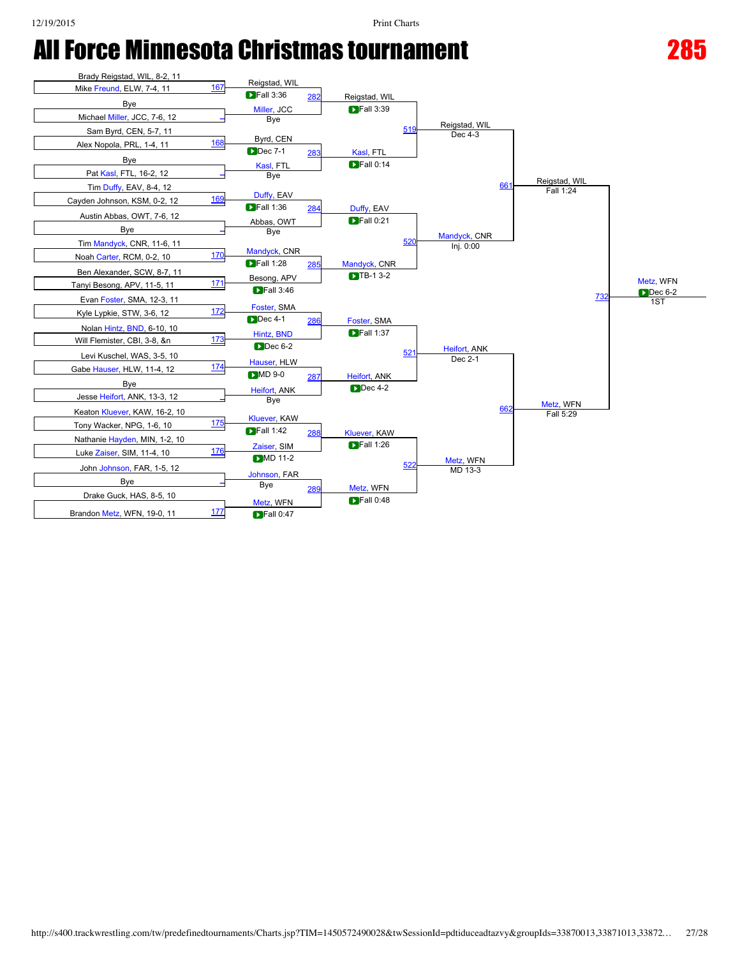